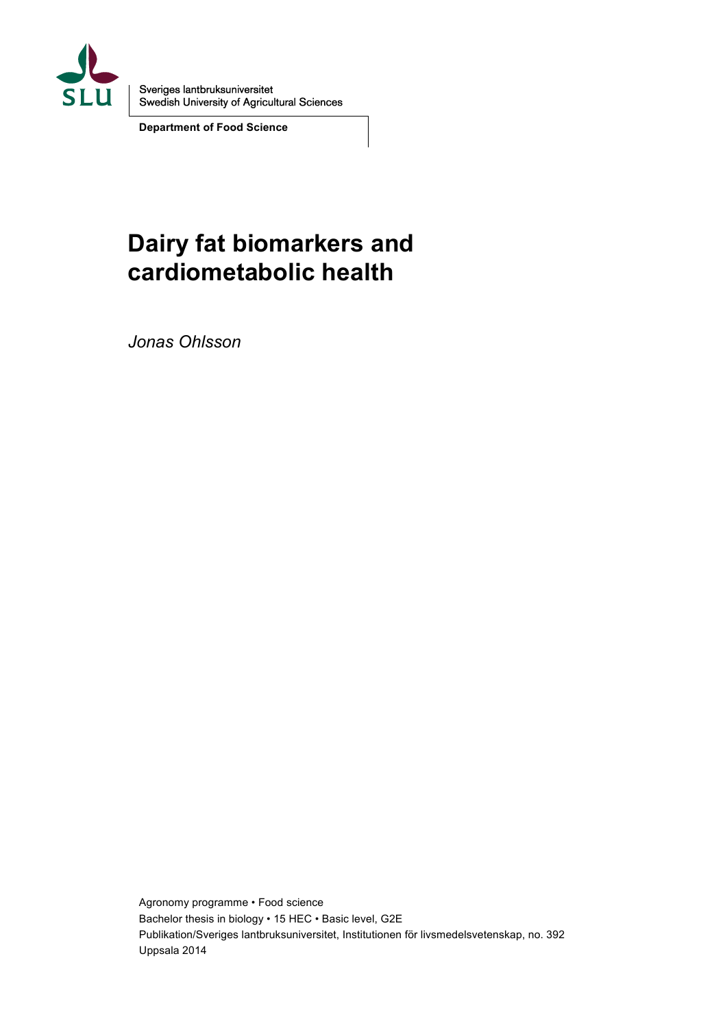

Sveriges lantbruksuniversitet<br>Swedish University of Agricultural Sciences

**Department of Food Science**

# **Dairy fat biomarkers and cardiometabolic health**

*Jonas Ohlsson*

Agronomy programme • Food science Bachelor thesis in biology • 15 HEC • Basic level, G2E Publikation/Sveriges lantbruksuniversitet, Institutionen för livsmedelsvetenskap, no. 392 Uppsala 2014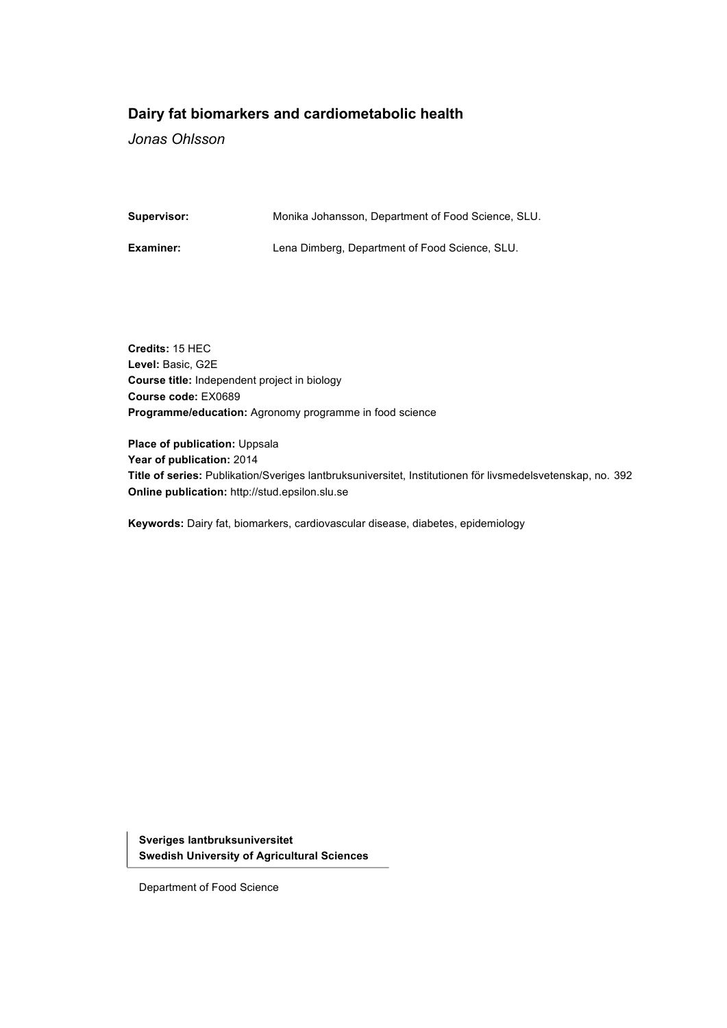## **Dairy fat biomarkers and cardiometabolic health**

*Jonas Ohlsson*

**Supervisor:** Monika Johansson, Department of Food Science, SLU.

**Examiner:** Lena Dimberg, Department of Food Science, SLU.

**Credits:** 15 HEC **Level:** Basic, G2E **Course title:** Independent project in biology **Course code:** EX0689 **Programme/education:** Agronomy programme in food science

**Place of publication:** Uppsala **Year of publication:** 2014 **Title of series:** Publikation/Sveriges lantbruksuniversitet, Institutionen för livsmedelsvetenskap, no. 392 **Online publication:** http://stud.epsilon.slu.se

**Keywords:** Dairy fat, biomarkers, cardiovascular disease, diabetes, epidemiology

**Sveriges lantbruksuniversitet Swedish University of Agricultural Sciences**

Department of Food Science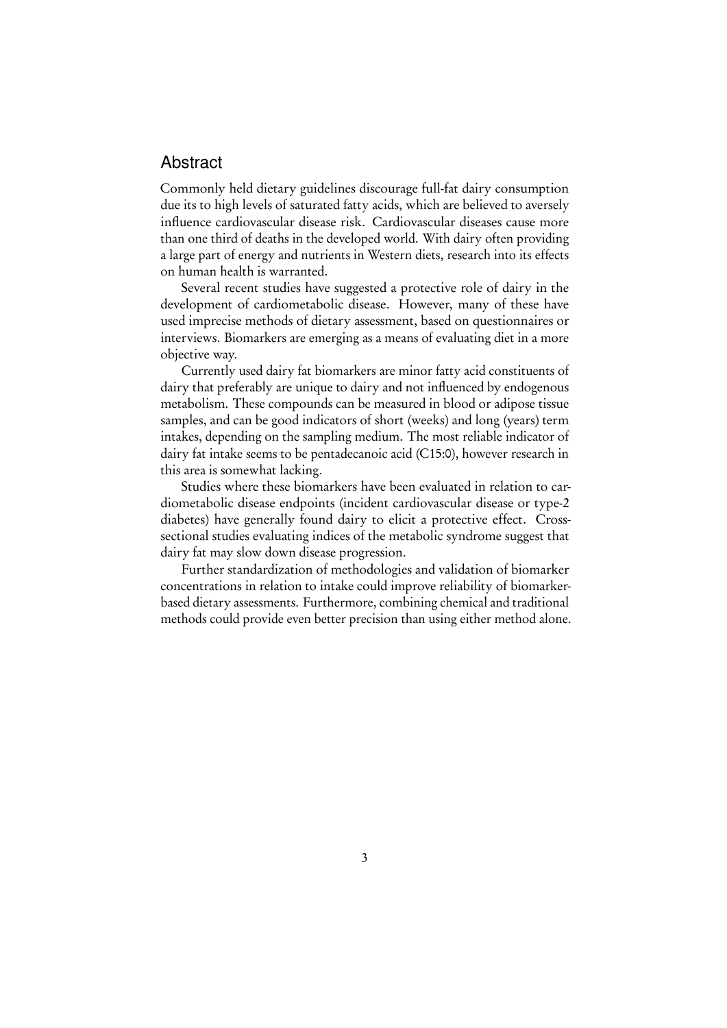## Abstract

Commonly held dietary guidelines discourage full-fat dairy consumption due its to high levels of saturated fatty acids, which are believed to aversely influence cardiovascular disease risk. Cardiovascular diseases cause more than one third of deaths in the developed world. With dairy often providing a large part of energy and nutrients in Western diets, research into its effects on human health is warranted.

Several recent studies have suggested a protective role of dairy in the development of cardiometabolic disease. However, many of these have used imprecise methods of dietary assessment, based on questionnaires or interviews. Biomarkers are emerging as a means of evaluating diet in a more objective way.

Currently used dairy fat biomarkers are minor fatty acid constituents of dairy that preferably are unique to dairy and not influenced by endogenous metabolism. These compounds can be measured in blood or adipose tissue samples, and can be good indicators of short (weeks) and long (years) term intakes, depending on the sampling medium. The most reliable indicator of dairy fat intake seems to be pentadecanoic acid (C15:0), however research in this area is somewhat lacking.

Studies where these biomarkers have been evaluated in relation to cardiometabolic disease endpoints (incident cardiovascular disease or type-2 diabetes) have generally found dairy to elicit a protective effect. Crosssectional studies evaluating indices of the metabolic syndrome suggest that dairy fat may slow down disease progression.

Further standardization of methodologies and validation of biomarker concentrations in relation to intake could improve reliability of biomarkerbased dietary assessments. Furthermore, combining chemical and traditional methods could provide even better precision than using either method alone.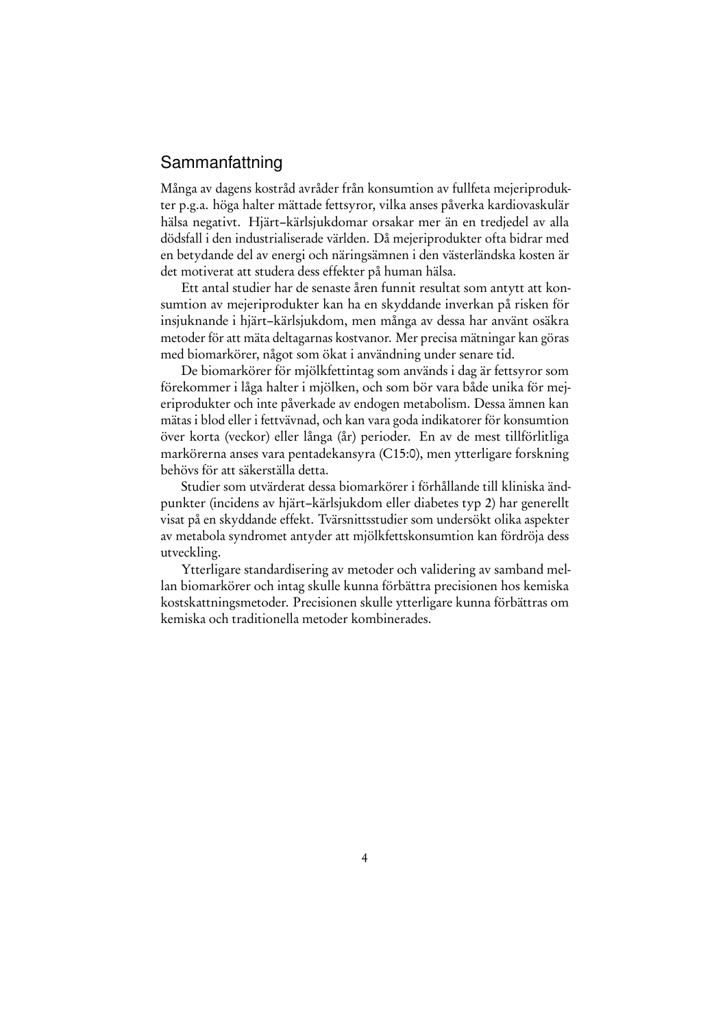## Sammanfattning

Många av dagens kostråd avråder från konsumtion av fullfeta mejeriprodukter p.g.a. höga halter mättade fettsyror, vilka anses påverka kardiovaskulär hälsa negativt. Hjärt–kärlsjukdomar orsakar mer än en tredjedel av alla dödsfall i den industrialiserade världen. Då mejeriprodukter ofta bidrar med en betydande del av energi och näringsämnen i den västerländska kosten är det motiverat att studera dess effekter på human hälsa.

Ett antal studier har de senaste åren funnit resultat som antytt att konsumtion av mejeriprodukter kan ha en skyddande inverkan på risken för insjuknande i hjärt–kärlsjukdom, men många av dessa har använt osäkra metoder för att mäta deltagarnas kostvanor. Mer precisa mätningar kan göras med biomarkörer, något som ökat i användning under senare tid.

De biomarkörer för mjölkfettintag som används i dag är fettsyror som förekommer i låga halter i mjölken, och som bör vara både unika för mejeriprodukter och inte påverkade av endogen metabolism. Dessa ämnen kan mätas i blod eller i fettvävnad, och kan vara goda indikatorer för konsumtion över korta (veckor) eller långa (år) perioder. En av de mest tillförlitliga markörerna anses vara pentadekansyra (C15:0), men ytterligare forskning behövs för att säkerställa detta.

Studier som utvärderat dessa biomarkörer i förhållande till kliniska ändpunkter (incidens av hjärt–kärlsjukdom eller diabetes typ 2) har generellt visat på en skyddande effekt. Tvärsnittsstudier som undersökt olika aspekter av metabola syndromet antyder att mjölkfettskonsumtion kan fördröja dess utveckling.

Ytterligare standardisering av metoder och validering av samband mellan biomarkörer och intag skulle kunna förbättra precisionen hos kemiska kostskattningsmetoder. Precisionen skulle ytterligare kunna förbättras om kemiska och traditionella metoder kombinerades.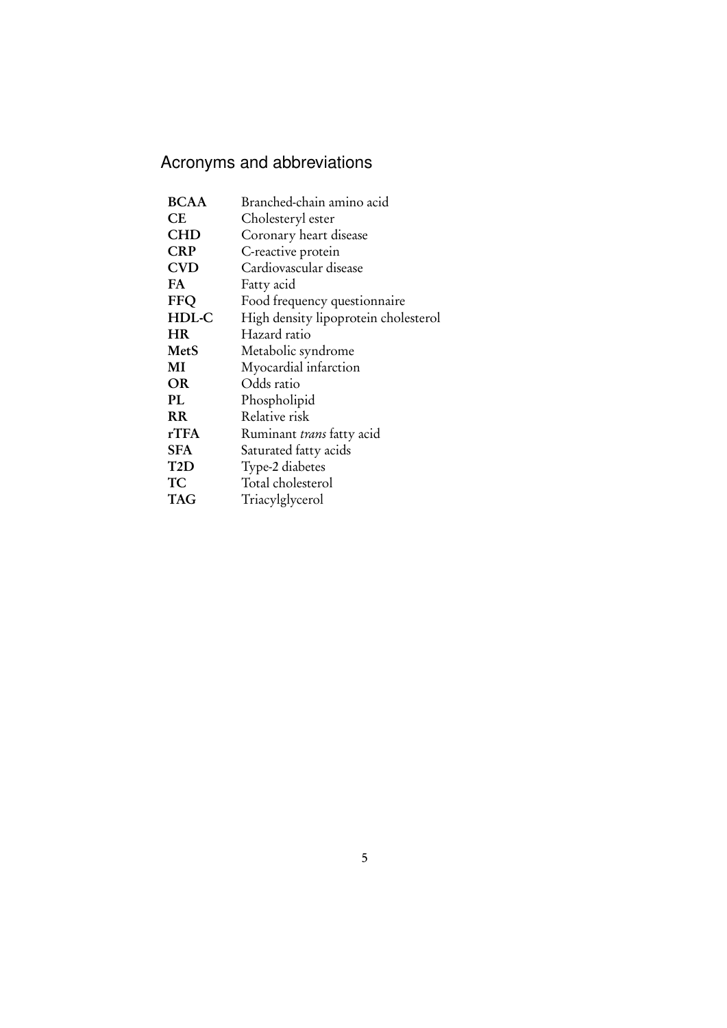## Acronyms and abbreviations

| Branched-chain amino acid            |
|--------------------------------------|
| Cholesteryl ester                    |
| Coronary heart disease               |
| C-reactive protein                   |
| Cardiovascular disease               |
| Fatty acid                           |
| Food frequency questionnaire         |
| High density lipoprotein cholesterol |
| Hazard ratio                         |
| Metabolic syndrome                   |
| Myocardial infarction                |
| Odds ratio                           |
| Phospholipid                         |
| Relative risk                        |
| Ruminant trans fatty acid            |
| Saturated fatty acids                |
| Type-2 diabetes                      |
| Total cholesterol                    |
| Triacylglycerol                      |
|                                      |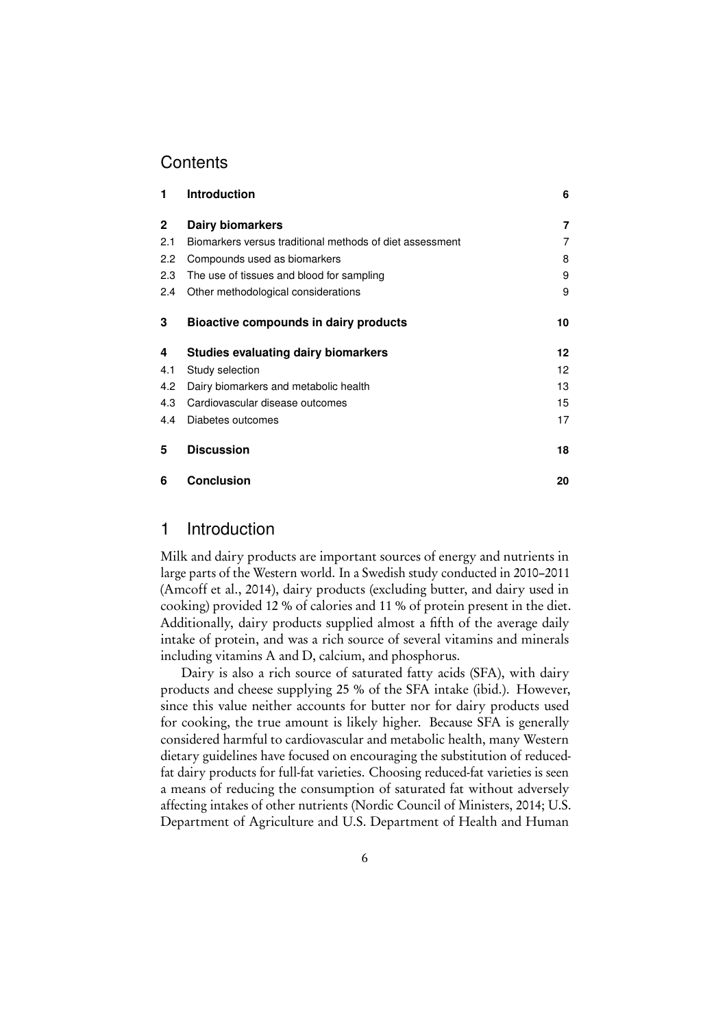## **Contents**

| 1             | <b>Introduction</b>                                      | 6  |
|---------------|----------------------------------------------------------|----|
| $\mathbf{2}$  | Dairy biomarkers                                         | 7  |
| 2.1           | Biomarkers versus traditional methods of diet assessment | 7  |
| $2.2^{\circ}$ | Compounds used as biomarkers                             | 8  |
| 2.3           | The use of tissues and blood for sampling                | 9  |
| 2.4           | Other methodological considerations                      | 9  |
| 3             | Bioactive compounds in dairy products                    | 10 |
| 4             | Studies evaluating dairy biomarkers                      | 12 |
| 4.1           | Study selection                                          | 12 |
| 4.2           | Dairy biomarkers and metabolic health                    | 13 |
| 4.3           | Cardiovascular disease outcomes                          | 15 |
| 4.4           | Diabetes outcomes                                        | 17 |
| 5             | <b>Discussion</b>                                        | 18 |
| 6             | <b>Conclusion</b>                                        | 20 |

## <span id="page-5-0"></span>1 Introduction

Milk and dairy products are important sources of energy and nutrients in large parts of the Western world. In a Swedish study conducted in 2010–2011 [\(Amcoff et al., 2014\)](#page-21-0), dairy products (excluding butter, and dairy used in cooking) provided 12 % of calories and 11 % of protein present in the diet. Additionally, dairy products supplied almost a fifth of the average daily intake of protein, and was a rich source of several vitamins and minerals including vitamins A and D, calcium, and phosphorus.

Dairy is also a rich source of saturated fatty acids (SFA), with dairy products and cheese supplying 25 % of the SFA intake (ibid.). However, since this value neither accounts for butter nor for dairy products used for cooking, the true amount is likely higher. Because SFA is generally considered harmful to cardiovascular and metabolic health, many Western dietary guidelines have focused on encouraging the substitution of reducedfat dairy products for full-fat varieties. Choosing reduced-fat varieties is seen a means of reducing the consumption of saturated fat without adversely affecting intakes of other nutrients [\(Nordic Council of Ministers, 2014;](#page-24-0) [U.S.](#page-25-0) [Department of Agriculture and U.S. Department of Health and Human](#page-25-0)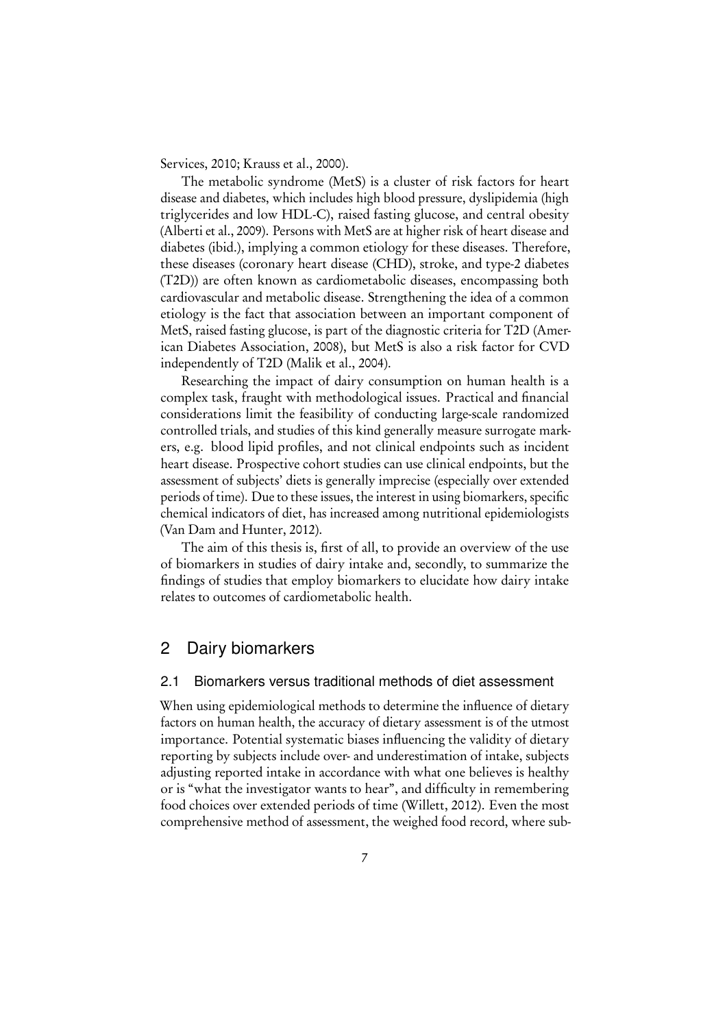[Services, 2010;](#page-25-0) [Krauss et al., 2000\)](#page-23-0).

The metabolic syndrome (MetS) is a cluster of risk factors for heart disease and diabetes, which includes high blood pressure, dyslipidemia (high triglycerides and low HDL-C), raised fasting glucose, and central obesity [\(Alberti et al., 2009\)](#page-21-1). Persons with MetS are at higher risk of heart disease and diabetes (ibid.), implying a common etiology for these diseases. Therefore, these diseases (coronary heart disease (CHD), stroke, and type-2 diabetes (T2D)) are often known as cardiometabolic diseases, encompassing both cardiovascular and metabolic disease. Strengthening the idea of a common etiology is the fact that association between an important component of MetS, raised fasting glucose, is part of the diagnostic criteria for T2D [\(Amer](#page-21-2)[ican Diabetes Association, 2008\)](#page-21-2), but MetS is also a risk factor for CVD independently of T2D [\(Malik et al., 2004\)](#page-23-1).

Researching the impact of dairy consumption on human health is a complex task, fraught with methodological issues. Practical and financial considerations limit the feasibility of conducting large-scale randomized controlled trials, and studies of this kind generally measure surrogate markers, e.g. blood lipid profiles, and not clinical endpoints such as incident heart disease. Prospective cohort studies can use clinical endpoints, but the assessment of subjects' diets is generally imprecise (especially over extended periods of time). Due to these issues, the interest in using biomarkers, specific chemical indicators of diet, has increased among nutritional epidemiologists [\(Van Dam and Hunter, 2012\)](#page-25-1).

The aim of this thesis is, first of all, to provide an overview of the use of biomarkers in studies of dairy intake and, secondly, to summarize the findings of studies that employ biomarkers to elucidate how dairy intake relates to outcomes of cardiometabolic health.

## <span id="page-6-0"></span>2 Dairy biomarkers

#### <span id="page-6-1"></span>2.1 Biomarkers versus traditional methods of diet assessment

When using epidemiological methods to determine the influence of dietary factors on human health, the accuracy of dietary assessment is of the utmost importance. Potential systematic biases influencing the validity of dietary reporting by subjects include over- and underestimation of intake, subjects adjusting reported intake in accordance with what one believes is healthy or is "what the investigator wants to hear", and difficulty in remembering food choices over extended periods of time [\(Willett, 2012\)](#page-26-0). Even the most comprehensive method of assessment, the weighed food record, where sub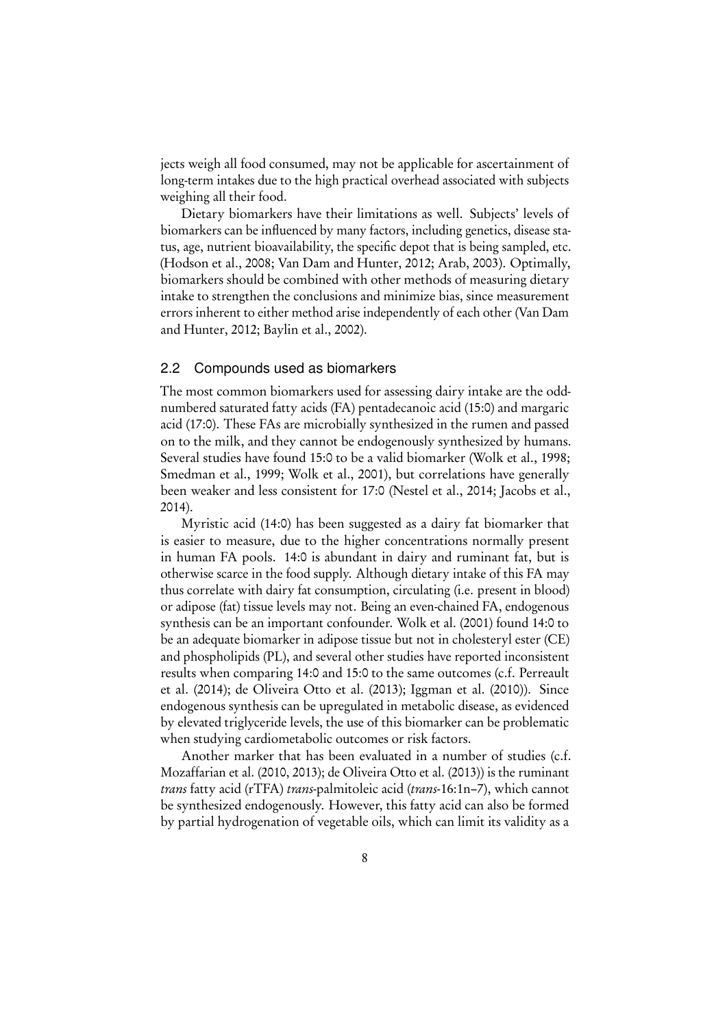jects weigh all food consumed, may not be applicable for ascertainment of long-term intakes due to the high practical overhead associated with subjects weighing all their food.

Dietary biomarkers have their limitations as well. Subjects' levels of biomarkers can be influenced by many factors, including genetics, disease status, age, nutrient bioavailability, the specific depot that is being sampled, etc. [\(Hodson et al., 2008;](#page-22-0) [Van Dam and Hunter, 2012;](#page-25-1) [Arab, 2003\)](#page-21-3). Optimally, biomarkers should be combined with other methods of measuring dietary intake to strengthen the conclusions and minimize bias, since measurement errors inherent to either method arise independently of each other [\(Van Dam](#page-25-1) [and Hunter, 2012;](#page-25-1) [Baylin et al., 2002\)](#page-21-4).

#### <span id="page-7-0"></span>2.2 Compounds used as biomarkers

The most common biomarkers used for assessing dairy intake are the oddnumbered saturated fatty acids (FA) pentadecanoic acid (15:0) and margaric acid (17:0). These FAs are microbially synthesized in the rumen and passed on to the milk, and they cannot be endogenously synthesized by humans. Several studies have found 15:0 to be a valid biomarker [\(Wolk et al., 1998;](#page-26-1) [Smedman et al., 1999;](#page-25-2) [Wolk et al., 2001\)](#page-26-2), but correlations have generally been weaker and less consistent for 17:0 [\(Nestel et al., 2014;](#page-24-1) [Jacobs et al.,](#page-22-1) [2014\)](#page-22-1).

Myristic acid (14:0) has been suggested as a dairy fat biomarker that is easier to measure, due to the higher concentrations normally present in human FA pools. 14:0 is abundant in dairy and ruminant fat, but is otherwise scarce in the food supply. Although dietary intake of this FA may thus correlate with dairy fat consumption, circulating (i.e. present in blood) or adipose (fat) tissue levels may not. Being an even-chained FA, endogenous synthesis can be an important confounder. [Wolk et al.](#page-26-2) [\(2001\)](#page-26-2) found 14:0 to be an adequate biomarker in adipose tissue but not in cholesteryl ester (CE) and phospholipids (PL), and several other studies have reported inconsistent results when comparing 14:0 and 15:0 to the same outcomes (c.f. [Perreault](#page-25-3) [et al.](#page-25-3) [\(2014\)](#page-25-3); [de Oliveira Otto et al.](#page-22-2) [\(2013\)](#page-22-2); [Iggman et al.](#page-22-3) [\(2010\)](#page-22-3)). Since endogenous synthesis can be upregulated in metabolic disease, as evidenced by elevated triglyceride levels, the use of this biomarker can be problematic when studying cardiometabolic outcomes or risk factors.

Another marker that has been evaluated in a number of studies (c.f. [Mozaffarian et al.](#page-24-2) [\(2010,](#page-24-2) [2013\)](#page-24-3); [de Oliveira Otto et al.](#page-22-2) [\(2013\)](#page-22-2)) is the ruminant trans fatty acid (rTFA) trans-palmitoleic acid (trans-16:1n–7), which cannot be synthesized endogenously. However, this fatty acid can also be formed by partial hydrogenation of vegetable oils, which can limit its validity as a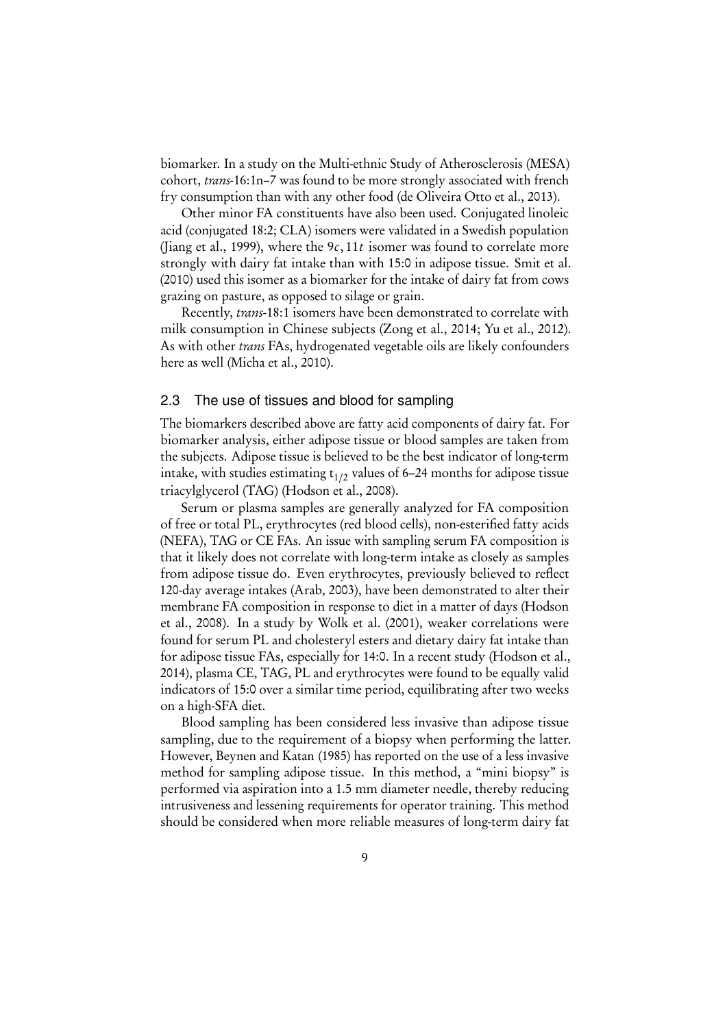biomarker. In a study on the Multi-ethnic Study of Atherosclerosis (MESA) cohort, trans-16:1n–7 was found to be more strongly associated with french fry consumption than with any other food [\(de Oliveira Otto et al., 2013\)](#page-22-2).

Other minor FA constituents have also been used. Conjugated linoleic acid (conjugated 18:2; CLA) isomers were validated in a Swedish population [\(Jiang et al., 1999\)](#page-23-2), where the 9c,11t isomer was found to correlate more strongly with dairy fat intake than with 15:0 in adipose tissue. [Smit et al.](#page-25-4) [\(2010\)](#page-25-4) used this isomer as a biomarker for the intake of dairy fat from cows grazing on pasture, as opposed to silage or grain.

Recently, trans-18:1 isomers have been demonstrated to correlate with milk consumption in Chinese subjects [\(Zong et al., 2014;](#page-27-0) [Yu et al., 2012\)](#page-26-3). As with other *trans* FAs, hydrogenated vegetable oils are likely confounders here as well [\(Micha et al., 2010\)](#page-24-4).

#### <span id="page-8-0"></span>2.3 The use of tissues and blood for sampling

The biomarkers described above are fatty acid components of dairy fat. For biomarker analysis, either adipose tissue or blood samples are taken from the subjects. Adipose tissue is believed to be the best indicator of long-term intake, with studies estimating t<sub>1/2</sub> values of 6–24 months for adipose tissue triacylglycerol (TAG) [\(Hodson et al., 2008\)](#page-22-0).

Serum or plasma samples are generally analyzed for FA composition of free or total PL, erythrocytes (red blood cells), non-esterified fatty acids (NEFA), TAG or CE FAs. An issue with sampling serum FA composition is that it likely does not correlate with long-term intake as closely as samples from adipose tissue do. Even erythrocytes, previously believed to reflect 120-day average intakes [\(Arab, 2003\)](#page-21-3), have been demonstrated to alter their membrane FA composition in response to diet in a matter of days [\(Hodson](#page-22-0) [et al., 2008\)](#page-22-0). In a study by [Wolk et al.](#page-26-2) [\(2001\)](#page-26-2), weaker correlations were found for serum PL and cholesteryl esters and dietary dairy fat intake than for adipose tissue FAs, especially for 14:0. In a recent study [\(Hodson et al.,](#page-22-4) [2014\)](#page-22-4), plasma CE, TAG, PL and erythrocytes were found to be equally valid indicators of 15:0 over a similar time period, equilibrating after two weeks on a high-SFA diet.

Blood sampling has been considered less invasive than adipose tissue sampling, due to the requirement of a biopsy when performing the latter. However, [Beynen and Katan](#page-22-5) [\(1985\)](#page-22-5) has reported on the use of a less invasive method for sampling adipose tissue. In this method, a "mini biopsy" is performed via aspiration into a 1.5 mm diameter needle, thereby reducing intrusiveness and lessening requirements for operator training. This method should be considered when more reliable measures of long-term dairy fat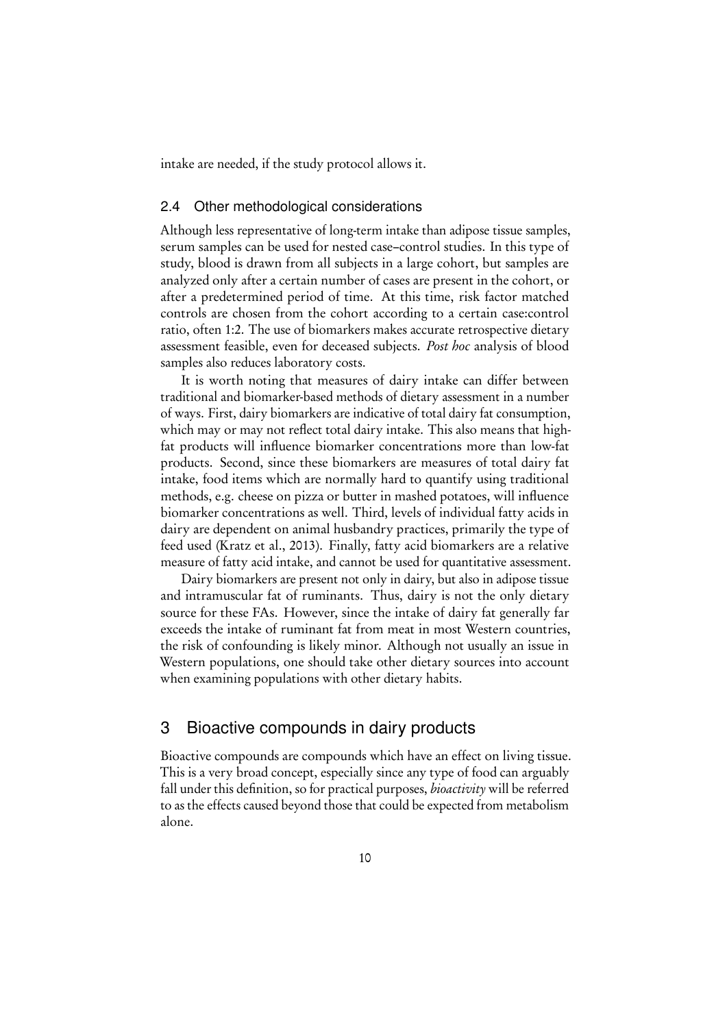intake are needed, if the study protocol allows it.

#### <span id="page-9-0"></span>2.4 Other methodological considerations

Although less representative of long-term intake than adipose tissue samples, serum samples can be used for nested case–control studies. In this type of study, blood is drawn from all subjects in a large cohort, but samples are analyzed only after a certain number of cases are present in the cohort, or after a predetermined period of time. At this time, risk factor matched controls are chosen from the cohort according to a certain case:control ratio, often 1:2. The use of biomarkers makes accurate retrospective dietary assessment feasible, even for deceased subjects. Post hoc analysis of blood samples also reduces laboratory costs.

It is worth noting that measures of dairy intake can differ between traditional and biomarker-based methods of dietary assessment in a number of ways. First, dairy biomarkers are indicative of total dairy fat consumption, which may or may not reflect total dairy intake. This also means that highfat products will influence biomarker concentrations more than low-fat products. Second, since these biomarkers are measures of total dairy fat intake, food items which are normally hard to quantify using traditional methods, e.g. cheese on pizza or butter in mashed potatoes, will influence biomarker concentrations as well. Third, levels of individual fatty acids in dairy are dependent on animal husbandry practices, primarily the type of feed used [\(Kratz et al., 2013\)](#page-23-3). Finally, fatty acid biomarkers are a relative measure of fatty acid intake, and cannot be used for quantitative assessment.

Dairy biomarkers are present not only in dairy, but also in adipose tissue and intramuscular fat of ruminants. Thus, dairy is not the only dietary source for these FAs. However, since the intake of dairy fat generally far exceeds the intake of ruminant fat from meat in most Western countries, the risk of confounding is likely minor. Although not usually an issue in Western populations, one should take other dietary sources into account when examining populations with other dietary habits.

## <span id="page-9-1"></span>3 Bioactive compounds in dairy products

Bioactive compounds are compounds which have an effect on living tissue. This is a very broad concept, especially since any type of food can arguably fall under this definition, so for practical purposes, *bioactivity* will be referred to as the effects caused beyond those that could be expected from metabolism alone.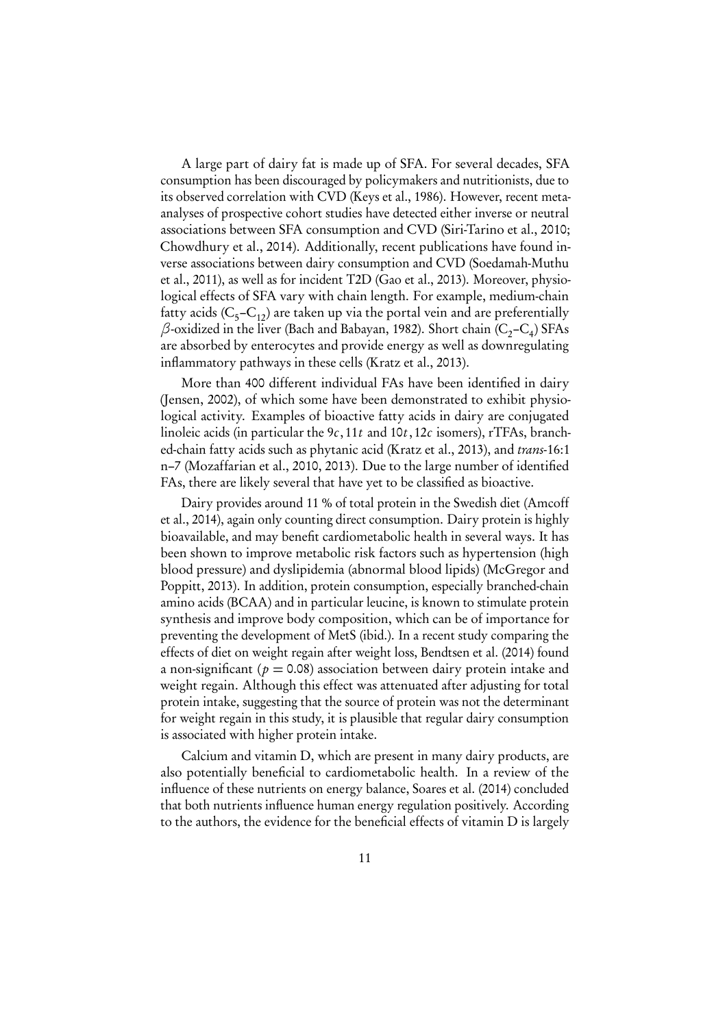A large part of dairy fat is made up of SFA. For several decades, SFA consumption has been discouraged by policymakers and nutritionists, due to its observed correlation with CVD [\(Keys et al., 1986\)](#page-23-4). However, recent metaanalyses of prospective cohort studies have detected either inverse or neutral associations between SFA consumption and CVD [\(Siri-Tarino et al., 2010;](#page-25-5) [Chowdhury et al., 2014\)](#page-22-6). Additionally, recent publications have found inverse associations between dairy consumption and CVD [\(Soedamah-Muthu](#page-25-6) [et al., 2011\)](#page-25-6), as well as for incident T2D [\(Gao et al., 2013\)](#page-22-7). Moreover, physiological effects of SFA vary with chain length. For example, medium-chain fatty acids (C<sub>5</sub>–C<sub>12</sub>) are taken up via the portal vein and are preferentially  $\beta$ -oxidized in the liver [\(Bach and Babayan, 1982\)](#page-21-5). Short chain (C<sub>2</sub>–C<sub>4</sub>) SFAs are absorbed by enterocytes and provide energy as well as downregulating inflammatory pathways in these cells [\(Kratz et al., 2013\)](#page-23-3).

More than 400 different individual FAs have been identified in dairy [\(Jensen, 2002\)](#page-23-5), of which some have been demonstrated to exhibit physiological activity. Examples of bioactive fatty acids in dairy are conjugated linoleic acids (in particular the  $9c$ , 11t and  $10t$ , 12c isomers), rTFAs, branched-chain fatty acids such as phytanic acid [\(Kratz et al., 2013\)](#page-23-3), and trans-16:1 n–7 [\(Mozaffarian et al., 2010,](#page-24-2) [2013\)](#page-24-3). Due to the large number of identified FAs, there are likely several that have yet to be classified as bioactive.

Dairy provides around 11 % of total protein in the Swedish diet [\(Amcoff](#page-21-0) [et al., 2014\)](#page-21-0), again only counting direct consumption. Dairy protein is highly bioavailable, and may benefit cardiometabolic health in several ways. It has been shown to improve metabolic risk factors such as hypertension (high blood pressure) and dyslipidemia (abnormal blood lipids) [\(McGregor and](#page-24-5) [Poppitt, 2013\)](#page-24-5). In addition, protein consumption, especially branched-chain amino acids (BCAA) and in particular leucine, is known to stimulate protein synthesis and improve body composition, which can be of importance for preventing the development of MetS (ibid.). In a recent study comparing the effects of diet on weight regain after weight loss, [Bendtsen et al.](#page-21-6) [\(2014\)](#page-21-6) found a non-significant ( $p = 0.08$ ) association between dairy protein intake and weight regain. Although this effect was attenuated after adjusting for total protein intake, suggesting that the source of protein was not the determinant for weight regain in this study, it is plausible that regular dairy consumption is associated with higher protein intake.

Calcium and vitamin D, which are present in many dairy products, are also potentially beneficial to cardiometabolic health. In a review of the influence of these nutrients on energy balance, [Soares et al.](#page-25-7) [\(2014\)](#page-25-7) concluded that both nutrients influence human energy regulation positively. According to the authors, the evidence for the beneficial effects of vitamin D is largely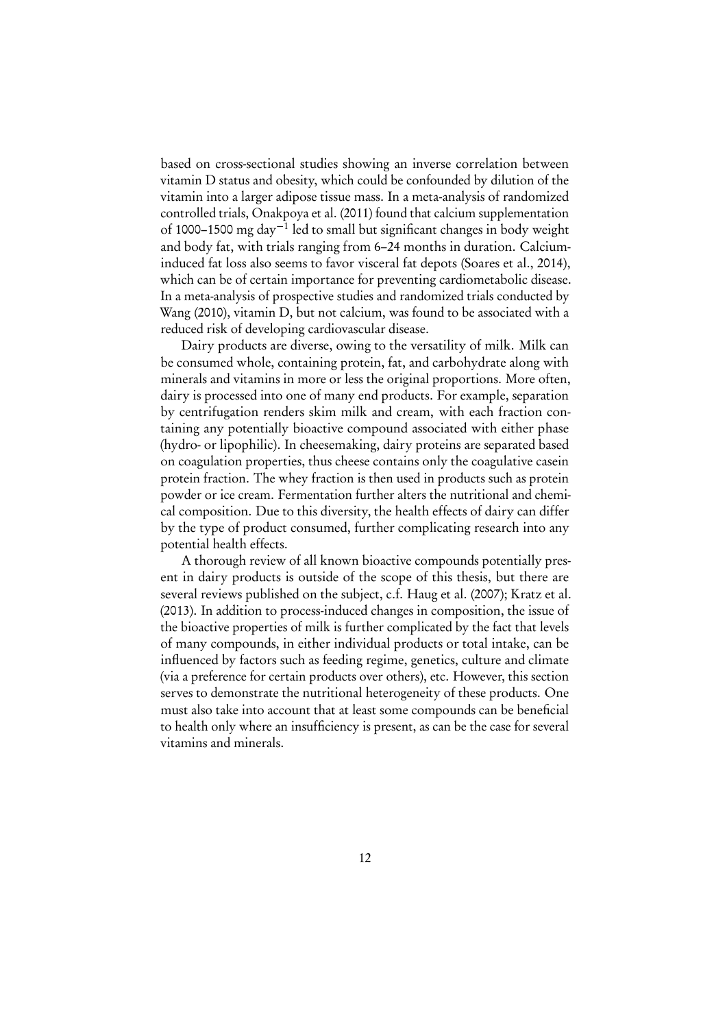based on cross-sectional studies showing an inverse correlation between vitamin D status and obesity, which could be confounded by dilution of the vitamin into a larger adipose tissue mass. In a meta-analysis of randomized controlled trials, [Onakpoya et al.](#page-25-8) [\(2011\)](#page-25-8) found that calcium supplementation of 1000–1500 mg day−<sup>1</sup> led to small but significant changes in body weight and body fat, with trials ranging from 6–24 months in duration. Calciuminduced fat loss also seems to favor visceral fat depots [\(Soares et al., 2014\)](#page-25-7), which can be of certain importance for preventing cardiometabolic disease. In a meta-analysis of prospective studies and randomized trials conducted by [Wang](#page-26-4) [\(2010\)](#page-26-4), vitamin D, but not calcium, was found to be associated with a reduced risk of developing cardiovascular disease.

Dairy products are diverse, owing to the versatility of milk. Milk can be consumed whole, containing protein, fat, and carbohydrate along with minerals and vitamins in more or less the original proportions. More often, dairy is processed into one of many end products. For example, separation by centrifugation renders skim milk and cream, with each fraction containing any potentially bioactive compound associated with either phase (hydro- or lipophilic). In cheesemaking, dairy proteins are separated based on coagulation properties, thus cheese contains only the coagulative casein protein fraction. The whey fraction is then used in products such as protein powder or ice cream. Fermentation further alters the nutritional and chemical composition. Due to this diversity, the health effects of dairy can differ by the type of product consumed, further complicating research into any potential health effects.

A thorough review of all known bioactive compounds potentially present in dairy products is outside of the scope of this thesis, but there are several reviews published on the subject, c.f. [Haug et al.](#page-22-8) [\(2007\)](#page-22-8); [Kratz et al.](#page-23-3) [\(2013\)](#page-23-3). In addition to process-induced changes in composition, the issue of the bioactive properties of milk is further complicated by the fact that levels of many compounds, in either individual products or total intake, can be influenced by factors such as feeding regime, genetics, culture and climate (via a preference for certain products over others), etc. However, this section serves to demonstrate the nutritional heterogeneity of these products. One must also take into account that at least some compounds can be beneficial to health only where an insufficiency is present, as can be the case for several vitamins and minerals.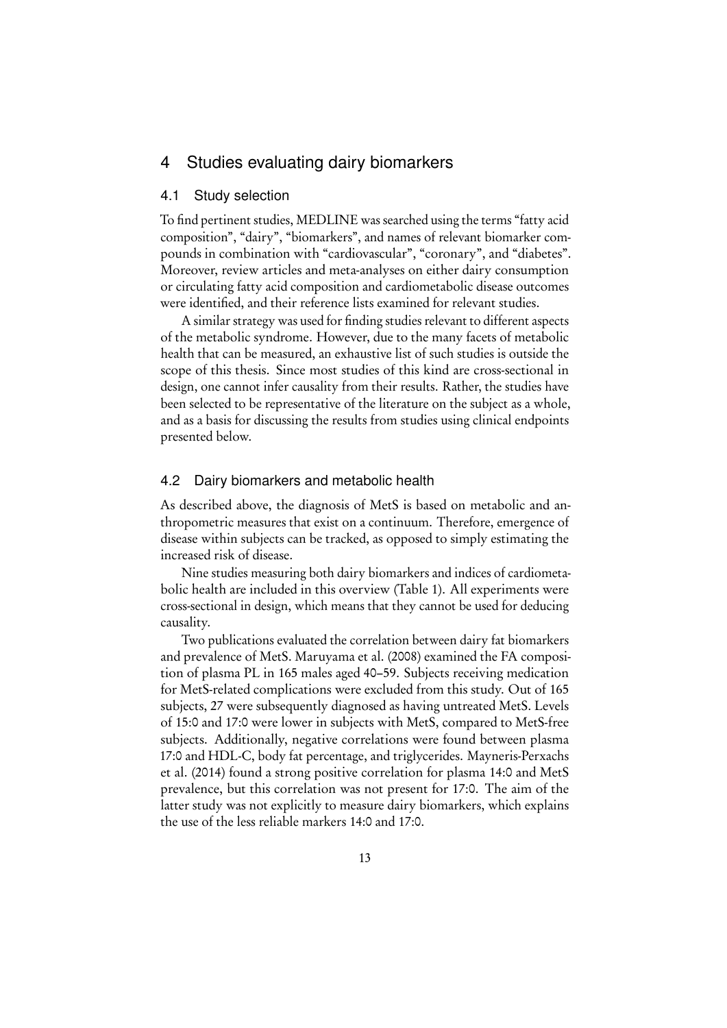## <span id="page-12-0"></span>4 Studies evaluating dairy biomarkers

#### <span id="page-12-1"></span>4.1 Study selection

To find pertinent studies, MEDLINE was searched using the terms "fatty acid composition", "dairy", "biomarkers", and names of relevant biomarker compounds in combination with "cardiovascular", "coronary", and "diabetes". Moreover, review articles and meta-analyses on either dairy consumption or circulating fatty acid composition and cardiometabolic disease outcomes were identified, and their reference lists examined for relevant studies.

A similar strategy was used for finding studies relevant to different aspects of the metabolic syndrome. However, due to the many facets of metabolic health that can be measured, an exhaustive list of such studies is outside the scope of this thesis. Since most studies of this kind are cross-sectional in design, one cannot infer causality from their results. Rather, the studies have been selected to be representative of the literature on the subject as a whole, and as a basis for discussing the results from studies using clinical endpoints presented below.

#### <span id="page-12-2"></span>4.2 Dairy biomarkers and metabolic health

As described above, the diagnosis of MetS is based on metabolic and anthropometric measures that exist on a continuum. Therefore, emergence of disease within subjects can be tracked, as opposed to simply estimating the increased risk of disease.

Nine studies measuring both dairy biomarkers and indices of cardiometabolic health are included in this overview (Table [1\)](#page-13-0). All experiments were cross-sectional in design, which means that they cannot be used for deducing causality.

Two publications evaluated the correlation between dairy fat biomarkers and prevalence of MetS. [Maruyama et al.](#page-24-6) [\(2008\)](#page-24-6) examined the FA composition of plasma PL in 165 males aged 40–59. Subjects receiving medication for MetS-related complications were excluded from this study. Out of 165 subjects, 27 were subsequently diagnosed as having untreated MetS. Levels of 15:0 and 17:0 were lower in subjects with MetS, compared to MetS-free subjects. Additionally, negative correlations were found between plasma 17:0 and HDL-C, body fat percentage, and triglycerides. [Mayneris-Perxachs](#page-24-7) [et al.](#page-24-7) [\(2014\)](#page-24-7) found a strong positive correlation for plasma 14:0 and MetS prevalence, but this correlation was not present for 17:0. The aim of the latter study was not explicitly to measure dairy biomarkers, which explains the use of the less reliable markers 14:0 and 17:0.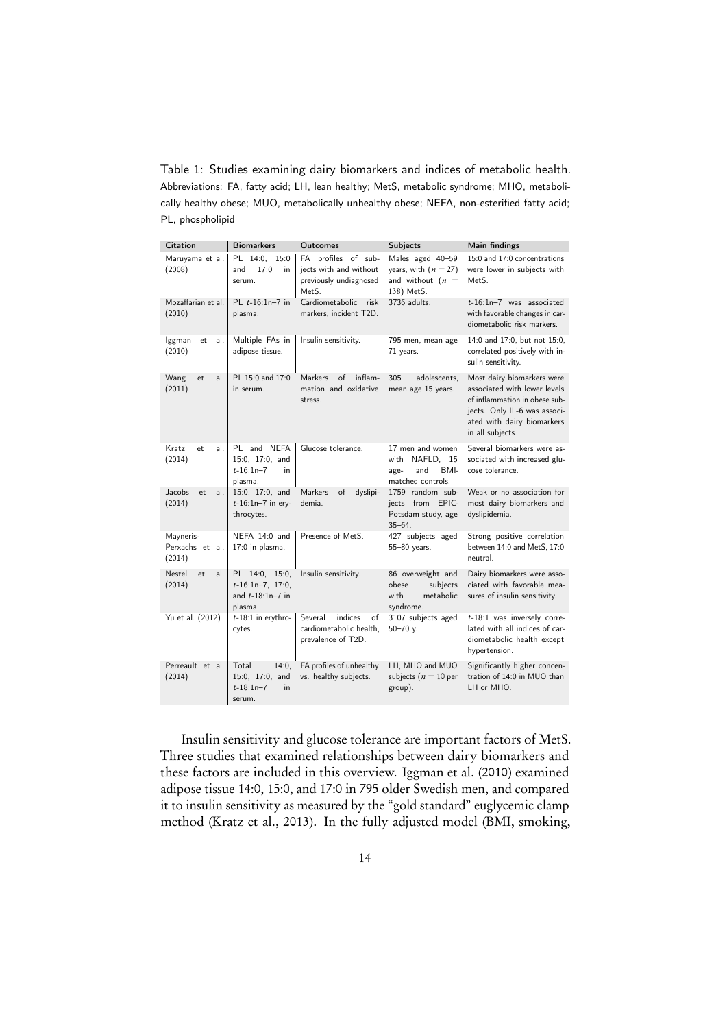<span id="page-13-0"></span>Table 1: Studies examining dairy biomarkers and indices of metabolic health. Abbreviations: FA, fatty acid; LH, lean healthy; MetS, metabolic syndrome; MHO, metabolically healthy obese; MUO, metabolically unhealthy obese; NEFA, non-esterified fatty acid; PL, phospholipid

| <b>Citation</b>                        | <b>Biomarkers</b>                                                          | <b>Outcomes</b>                                                                               | <b>Subjects</b>                                                                | Main findings                                                                                                                                                                 |
|----------------------------------------|----------------------------------------------------------------------------|-----------------------------------------------------------------------------------------------|--------------------------------------------------------------------------------|-------------------------------------------------------------------------------------------------------------------------------------------------------------------------------|
| Maruyama et al.<br>(2008)              | PL 14:0, 15:0<br>and<br>17:0<br>in<br>serum.                               | FA profiles of sub-<br>jects with and without<br>previously undiagnosed<br>Met <sub>S</sub> . | Males aged 40-59<br>years, with $(n = 27)$<br>and without $(n =$<br>138) MetS. | 15:0 and 17:0 concentrations<br>were lower in subjects with<br>MetS.                                                                                                          |
| Mozaffarian et al.<br>(2010)           | PL $t-16:1n-7$ in<br>plasma.                                               | Cardiometabolic<br>risk<br>markers, incident T2D.                                             | 3736 adults.                                                                   | $t-16:1n-7$ was associated<br>with favorable changes in car-<br>diometabolic risk markers.                                                                                    |
| lggman<br>al.<br>et<br>(2010)          | Multiple FAs in<br>adipose tissue.                                         | Insulin sensitivity.                                                                          | 795 men, mean age<br>71 years.                                                 | 14:0 and 17:0, but not 15:0,<br>correlated positively with in-<br>sulin sensitivity.                                                                                          |
| Wang<br>al.<br>et.<br>(2011)           | PL 15:0 and 17:0<br>in serum.                                              | <b>Markers</b><br>$\circ$ f<br>inflam-<br>mation and oxidative<br>stress.                     | 305<br>adolescents.<br>mean age 15 years.                                      | Most dairy biomarkers were<br>associated with lower levels<br>of inflammation in obese sub-<br>jects. Only IL-6 was associ-<br>ated with dairy biomarkers<br>in all subjects. |
| Kratz<br>al.<br>et.<br>(2014)          | PL and NEFA<br>15:0, 17:0, and<br>$t-16:1n-7$<br>in<br>plasma.             | Glucose tolerance.                                                                            | 17 men and women<br>with NAFLD, 15<br>and<br>BMI-<br>age-<br>matched controls. | Several biomarkers were as-<br>sociated with increased glu-<br>cose tolerance.                                                                                                |
| Jacobs<br>al.<br>et<br>(2014)          | 15:0, 17:0, and<br>$t-16:1n-7$ in ery-<br>throcytes.                       | Markers<br>of<br>dyslipi-<br>demia.                                                           | 1759 random sub-<br>jects from EPIC-<br>Potsdam study, age<br>$35 - 64.$       | Weak or no association for<br>most dairy biomarkers and<br>dyslipidemia.                                                                                                      |
| Mayneris-<br>Perxachs et al.<br>(2014) | NEFA 14:0 and<br>17:0 in plasma.                                           | Presence of MetS.                                                                             | 427 subjects aged<br>55-80 years.                                              | Strong positive correlation<br>between 14:0 and MetS, 17:0<br>neutral.                                                                                                        |
| Nestel<br>al.<br>et.<br>(2014)         | PL 14:0, 15:0,<br>$t-16:1n-7$ , 17:0,<br>and $t - 18:1n - 7$ in<br>plasma. | Insulin sensitivity.                                                                          | 86 overweight and<br>subjects<br>obese<br>with<br>metabolic<br>syndrome.       | Dairy biomarkers were asso-<br>ciated with favorable mea-<br>sures of insulin sensitivity.                                                                                    |
| Yu et al. (2012)                       | $t-18:1$ in erythro-<br>cytes.                                             | indices<br>Several<br>of<br>cardiometabolic health.<br>prevalence of T2D.                     | 3107 subjects aged<br>$50 - 70$ y.                                             | $t-18:1$ was inversely corre-<br>lated with all indices of car-<br>diometabolic health except<br>hypertension.                                                                |
| Perreault et al.<br>(2014)             | Total<br>14:0.<br>15:0, 17:0, and<br>$t-18:1n-7$<br>in<br>serum.           | FA profiles of unhealthy<br>vs. healthy subjects.                                             | LH, MHO and MUO<br>subjects ( $n = 10$ per<br>group).                          | Significantly higher concen-<br>tration of 14:0 in MUO than<br>LH or MHO.                                                                                                     |

Insulin sensitivity and glucose tolerance are important factors of MetS. Three studies that examined relationships between dairy biomarkers and these factors are included in this overview. [Iggman et al.](#page-22-3) [\(2010\)](#page-22-3) examined adipose tissue 14:0, 15:0, and 17:0 in 795 older Swedish men, and compared it to insulin sensitivity as measured by the "gold standard" euglycemic clamp method [\(Kratz et al., 2013\)](#page-23-3). In the fully adjusted model (BMI, smoking,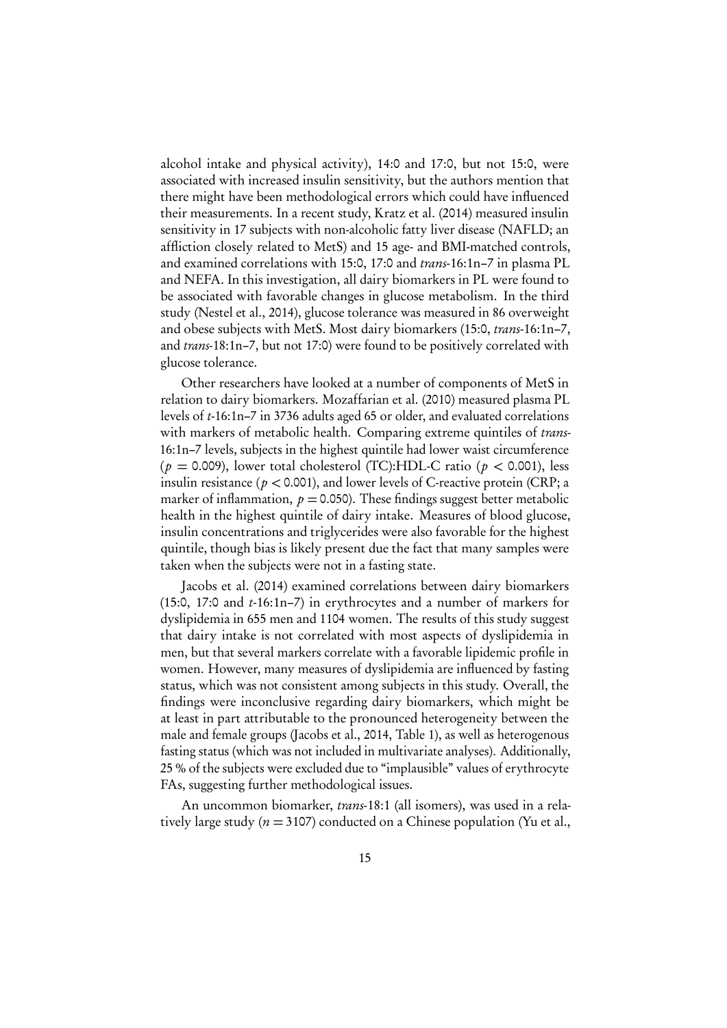alcohol intake and physical activity), 14:0 and 17:0, but not 15:0, were associated with increased insulin sensitivity, but the authors mention that there might have been methodological errors which could have influenced their measurements. In a recent study, [Kratz et al.](#page-23-6) [\(2014\)](#page-23-6) measured insulin sensitivity in 17 subjects with non-alcoholic fatty liver disease (NAFLD; an affliction closely related to MetS) and 15 age- and BMI-matched controls, and examined correlations with 15:0, 17:0 and trans-16:1n–7 in plasma PL and NEFA. In this investigation, all dairy biomarkers in PL were found to be associated with favorable changes in glucose metabolism. In the third study [\(Nestel et al., 2014\)](#page-24-1), glucose tolerance was measured in 86 overweight and obese subjects with MetS. Most dairy biomarkers (15:0, trans-16:1n–7, and trans-18:1n–7, but not 17:0) were found to be positively correlated with glucose tolerance.

Other researchers have looked at a number of components of MetS in relation to dairy biomarkers. [Mozaffarian et al.](#page-24-2) [\(2010\)](#page-24-2) measured plasma PL levels of t-16:1n–7 in 3736 adults aged 65 or older, and evaluated correlations with markers of metabolic health. Comparing extreme quintiles of trans-16:1n–7 levels, subjects in the highest quintile had lower waist circumference ( $p = 0.009$ ), lower total cholesterol (TC):HDL-C ratio ( $p < 0.001$ ), less insulin resistance ( $p < 0.001$ ), and lower levels of C-reactive protein (CRP; a marker of inflammation,  $p = 0.050$ . These findings suggest better metabolic health in the highest quintile of dairy intake. Measures of blood glucose, insulin concentrations and triglycerides were also favorable for the highest quintile, though bias is likely present due the fact that many samples were taken when the subjects were not in a fasting state.

[Jacobs et al.](#page-22-1) [\(2014\)](#page-22-1) examined correlations between dairy biomarkers (15:0, 17:0 and  $t$ -16:1n–7) in erythrocytes and a number of markers for dyslipidemia in 655 men and 1104 women. The results of this study suggest that dairy intake is not correlated with most aspects of dyslipidemia in men, but that several markers correlate with a favorable lipidemic profile in women. However, many measures of dyslipidemia are influenced by fasting status, which was not consistent among subjects in this study. Overall, the findings were inconclusive regarding dairy biomarkers, which might be at least in part attributable to the pronounced heterogeneity between the male and female groups [\(Jacobs et al., 2014,](#page-22-1) Table 1), as well as heterogenous fasting status (which was not included in multivariate analyses). Additionally, 25 % of the subjects were excluded due to "implausible" values of erythrocyte FAs, suggesting further methodological issues.

An uncommon biomarker, *trans*-18:1 (all isomers), was used in a relatively large study ( $n = 3107$ ) conducted on a Chinese population [\(Yu et al.,](#page-26-3)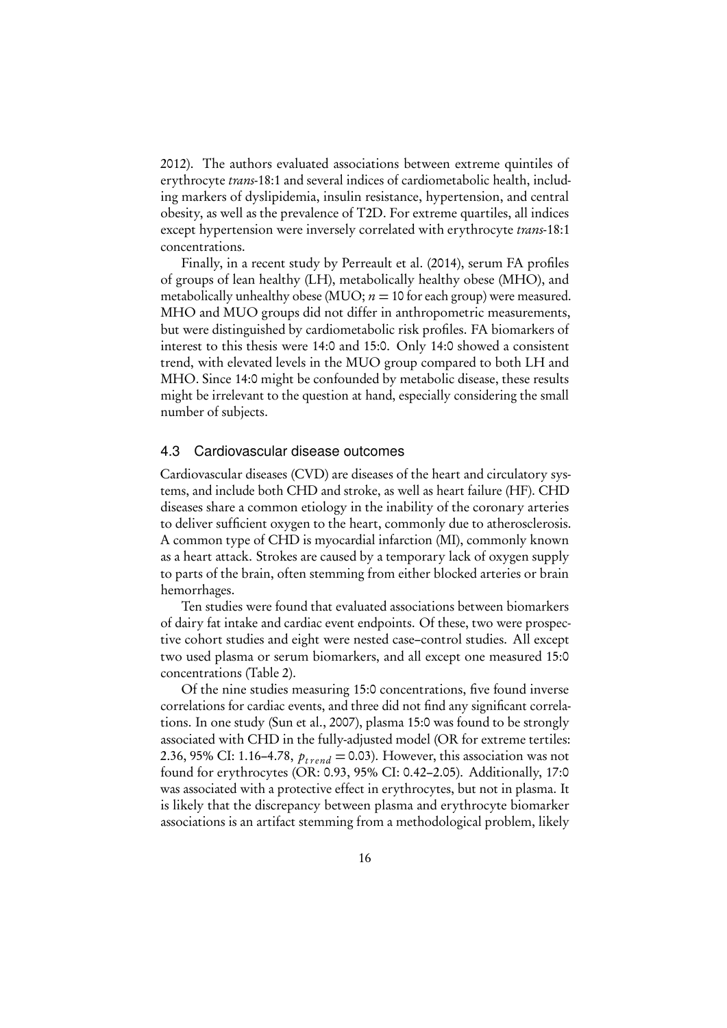[2012\)](#page-26-3). The authors evaluated associations between extreme quintiles of erythrocyte trans-18:1 and several indices of cardiometabolic health, including markers of dyslipidemia, insulin resistance, hypertension, and central obesity, as well as the prevalence of T2D. For extreme quartiles, all indices except hypertension were inversely correlated with erythrocyte trans-18:1 concentrations.

Finally, in a recent study by [Perreault et al.](#page-25-3) [\(2014\)](#page-25-3), serum FA profiles of groups of lean healthy (LH), metabolically healthy obese (MHO), and metabolically unhealthy obese (MUO;  $n = 10$  for each group) were measured. MHO and MUO groups did not differ in anthropometric measurements, but were distinguished by cardiometabolic risk profiles. FA biomarkers of interest to this thesis were 14:0 and 15:0. Only 14:0 showed a consistent trend, with elevated levels in the MUO group compared to both LH and MHO. Since 14:0 might be confounded by metabolic disease, these results might be irrelevant to the question at hand, especially considering the small number of subjects.

#### <span id="page-15-0"></span>4.3 Cardiovascular disease outcomes

Cardiovascular diseases (CVD) are diseases of the heart and circulatory systems, and include both CHD and stroke, as well as heart failure (HF). CHD diseases share a common etiology in the inability of the coronary arteries to deliver sufficient oxygen to the heart, commonly due to atherosclerosis. A common type of CHD is myocardial infarction (MI), commonly known as a heart attack. Strokes are caused by a temporary lack of oxygen supply to parts of the brain, often stemming from either blocked arteries or brain hemorrhages.

Ten studies were found that evaluated associations between biomarkers of dairy fat intake and cardiac event endpoints. Of these, two were prospective cohort studies and eight were nested case–control studies. All except two used plasma or serum biomarkers, and all except one measured 15:0 concentrations (Table [2\)](#page-16-0).

Of the nine studies measuring 15:0 concentrations, five found inverse correlations for cardiac events, and three did not find any significant correlations. In one study [\(Sun et al., 2007\)](#page-25-9), plasma 15:0 was found to be strongly associated with CHD in the fully-adjusted model (OR for extreme tertiles: 2.36, 95% CI: 1.16–4.78,  $p_{trend} = 0.03$ ). However, this association was not found for erythrocytes (OR: 0.93, 95% CI: 0.42–2.05). Additionally, 17:0 was associated with a protective effect in erythrocytes, but not in plasma. It is likely that the discrepancy between plasma and erythrocyte biomarker associations is an artifact stemming from a methodological problem, likely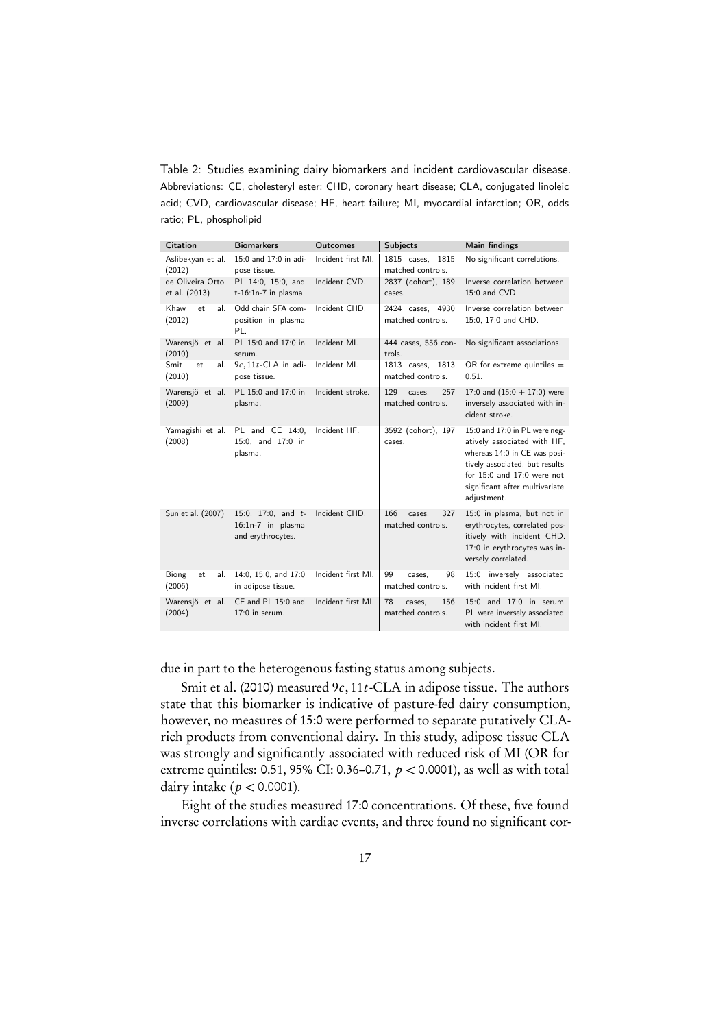<span id="page-16-0"></span>Table 2: Studies examining dairy biomarkers and incident cardiovascular disease. Abbreviations: CE, cholesteryl ester; CHD, coronary heart disease; CLA, conjugated linoleic acid; CVD, cardiovascular disease; HF, heart failure; MI, myocardial infarction; OR, odds ratio; PL, phospholipid

| <b>Citation</b>                   | <b>Biomarkers</b>                                              | <b>Outcomes</b>    | <b>Subjects</b>                           | Main findings                                                                                                                                                                                                 |
|-----------------------------------|----------------------------------------------------------------|--------------------|-------------------------------------------|---------------------------------------------------------------------------------------------------------------------------------------------------------------------------------------------------------------|
| Aslibekyan et al.<br>(2012)       | 15:0 and 17:0 in adi-<br>pose tissue.                          | Incident first MI. | 1815<br>1815 cases,<br>matched controls.  | No significant correlations.                                                                                                                                                                                  |
| de Oliveira Otto<br>et al. (2013) | PL 14:0, 15:0, and<br>$t-16:1n-7$ in plasma.                   | Incident CVD.      | 2837 (cohort), 189<br>cases.              | Inverse correlation between<br>15:0 and CVD.                                                                                                                                                                  |
| Khaw<br>et.<br>al.<br>(2012)      | Odd chain SFA com-<br>position in plasma<br>PL.                | Incident CHD.      | 2424 cases, 4930<br>matched controls.     | Inverse correlation between<br>15:0, 17:0 and CHD.                                                                                                                                                            |
| Warensjö et al.<br>(2010)         | PL 15:0 and 17:0 in<br>serum.                                  | Incident MI.       | 444 cases, 556 con-<br>trols.             | No significant associations.                                                                                                                                                                                  |
| Smit<br>et<br>al.<br>(2010)       | $9c$ , 11t-CLA in adi-<br>pose tissue.                         | Incident MI.       | 1813 cases,<br>1813<br>matched controls.  | OR for extreme quintiles $=$<br>0.51.                                                                                                                                                                         |
| Warensjö et al.<br>(2009)         | PL 15:0 and 17:0 in<br>plasma.                                 | Incident stroke.   | 129<br>257<br>cases.<br>matched controls. | 17:0 and $(15:0 + 17:0)$ were<br>inversely associated with in-<br>cident stroke.                                                                                                                              |
| Yamagishi et al.<br>(2008)        | PL and CE 14:0,<br>15:0, and 17:0 in<br>plasma.                | Incident HF.       | 3592 (cohort), 197<br>cases.              | 15:0 and 17:0 in PL were neg-<br>atively associated with HF,<br>whereas 14:0 in CE was posi-<br>tively associated, but results<br>for 15:0 and 17:0 were not<br>significant after multivariate<br>adjustment. |
| Sun et al. (2007)                 | 15:0, 17:0, and $t-$<br>16:1n-7 in plasma<br>and erythrocytes. | Incident CHD.      | 166<br>327<br>cases.<br>matched controls. | 15:0 in plasma, but not in<br>erythrocytes, correlated pos-<br>itively with incident CHD.<br>17:0 in erythrocytes was in-<br>versely correlated.                                                              |
| Biong<br>al.<br>et<br>(2006)      | 14:0, 15:0, and 17:0<br>in adipose tissue.                     | Incident first MI. | 99<br>98<br>cases.<br>matched controls.   | 15:0 inversely associated<br>with incident first MI.                                                                                                                                                          |
| Warensjö et al.<br>(2004)         | CE and PL 15:0 and<br>17:0 in serum.                           | Incident first MI. | 78<br>156<br>cases.<br>matched controls.  | 15:0 and 17:0 in serum<br>PL were inversely associated<br>with incident first MI.                                                                                                                             |

due in part to the heterogenous fasting status among subjects.

[Smit et al.](#page-25-4) [\(2010\)](#page-25-4) measured  $9c$ , 11t-CLA in adipose tissue. The authors state that this biomarker is indicative of pasture-fed dairy consumption, however, no measures of 15:0 were performed to separate putatively CLArich products from conventional dairy. In this study, adipose tissue CLA was strongly and significantly associated with reduced risk of MI (OR for extreme quintiles: 0.51, 95% CI: 0.36–0.71, p *<* 0.0001), as well as with total dairy intake ( p *<* 0.0001).

Eight of the studies measured 17:0 concentrations. Of these, five found inverse correlations with cardiac events, and three found no significant cor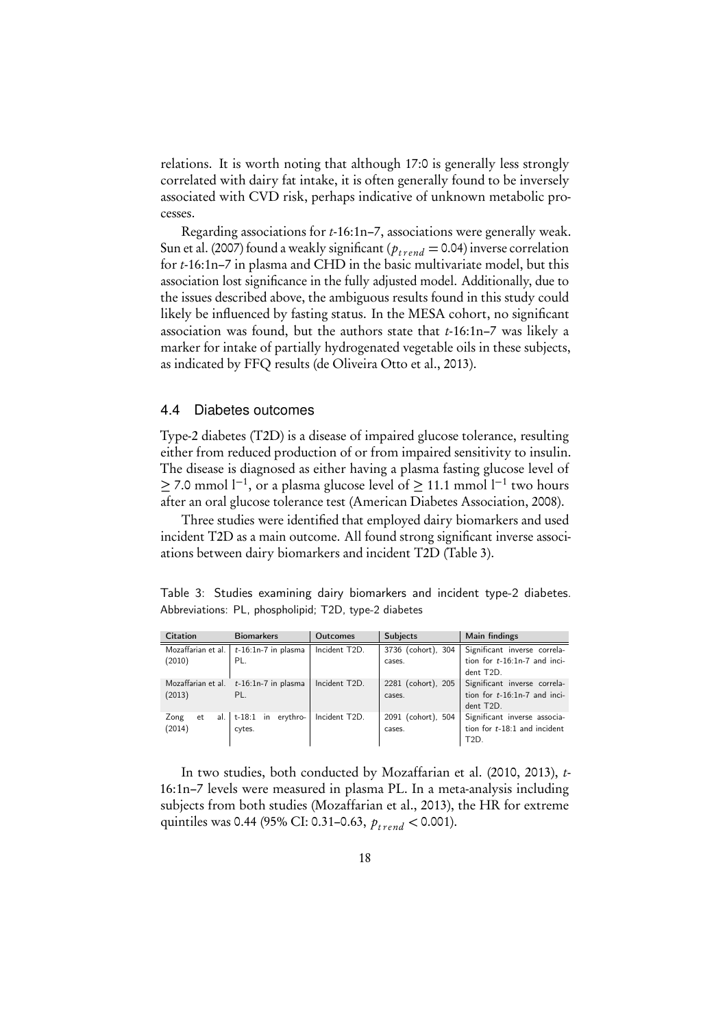relations. It is worth noting that although 17:0 is generally less strongly correlated with dairy fat intake, it is often generally found to be inversely associated with CVD risk, perhaps indicative of unknown metabolic processes.

Regarding associations for t-16:1n–7, associations were generally weak. [Sun et al.](#page-25-9) [\(2007\)](#page-25-9) found a weakly significant ( $p_{trend} = 0.04$ ) inverse correlation for t-16:1n–7 in plasma and CHD in the basic multivariate model, but this association lost significance in the fully adjusted model. Additionally, due to the issues described above, the ambiguous results found in this study could likely be influenced by fasting status. In the MESA cohort, no significant association was found, but the authors state that t-16:1n–7 was likely a marker for intake of partially hydrogenated vegetable oils in these subjects, as indicated by FFQ results [\(de Oliveira Otto et al., 2013\)](#page-22-2).

#### <span id="page-17-0"></span>4.4 Diabetes outcomes

Type-2 diabetes (T2D) is a disease of impaired glucose tolerance, resulting either from reduced production of or from impaired sensitivity to insulin. The disease is diagnosed as either having a plasma fasting glucose level of ≥ 7.0 mmol l<sup>-1</sup>, or a plasma glucose level of ≥ 11.1 mmol l<sup>-1</sup> two hours after an oral glucose tolerance test [\(American Diabetes Association, 2008\)](#page-21-2).

Three studies were identified that employed dairy biomarkers and used incident T2D as a main outcome. All found strong significant inverse associations between dairy biomarkers and incident T2D (Table [3\)](#page-17-1).

<span id="page-17-1"></span>Table 3: Studies examining dairy biomarkers and incident type-2 diabetes. Abbreviations: PL, phospholipid; T2D, type-2 diabetes

| <b>Citation</b>                | <b>Biomarkers</b>                        | <b>Outcomes</b> | <b>Subjects</b>              | Main findings                                                                       |
|--------------------------------|------------------------------------------|-----------------|------------------------------|-------------------------------------------------------------------------------------|
| Mozaffarian et al. I<br>(2010) | $t-16:1n-7$ in plasma<br>PL.             | Incident T2D.   | 3736 (cohort), 304<br>cases. | Significant inverse correla-<br>tion for $t-16:1n-7$ and inci-<br>dent T2D.         |
| Mozaffarian et al.<br>(2013)   | $t-16:1n-7$ in plasma<br>PL.             | Incident T2D.   | 2281 (cohort), 205<br>cases. | Significant inverse correla-<br>tion for $t-16:1n-7$ and inci-<br>dent T2D.         |
| Zong<br>et<br>(2014)           | al. $\vert$ t-18:1 in erythro-<br>cytes. | Incident T2D.   | 2091 (cohort), 504<br>cases. | Significant inverse associa-<br>tion for $t-18:1$ and incident<br>T <sub>2</sub> D. |

In two studies, both conducted by [Mozaffarian et al.](#page-24-2) [\(2010,](#page-24-2) [2013\)](#page-24-3), t-16:1n–7 levels were measured in plasma PL. In a meta-analysis including subjects from both studies [\(Mozaffarian et al., 2013\)](#page-24-3), the HR for extreme quintiles was 0.44 (95% CI: 0.31–0.63,  $p_{trend} < 0.001$ ).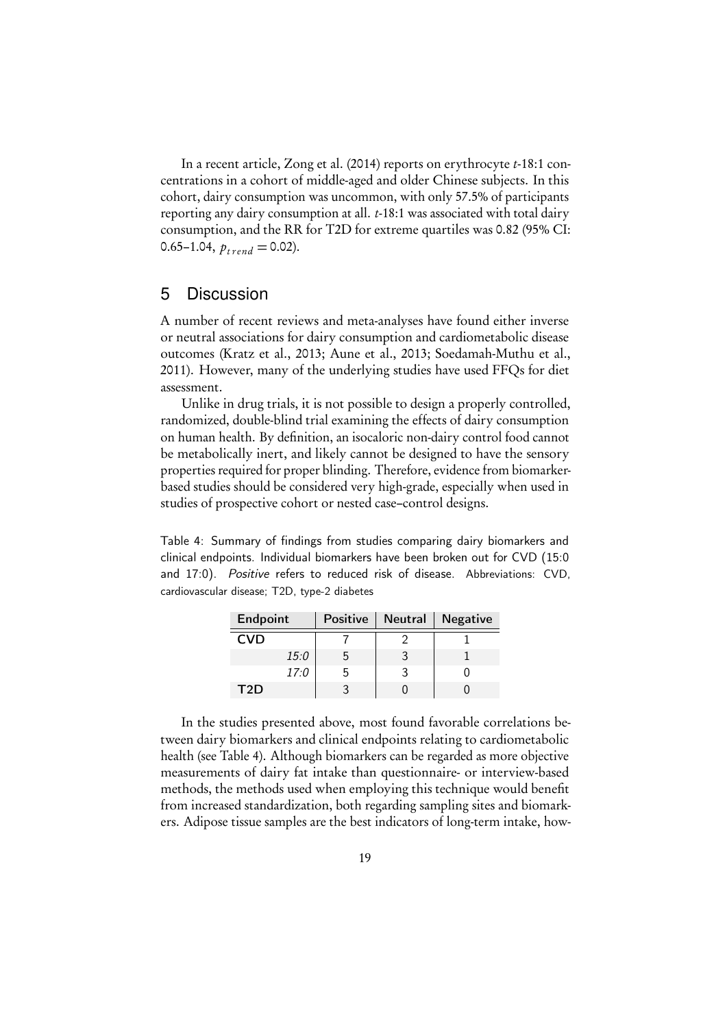In a recent article, [Zong et al.](#page-27-0) [\(2014\)](#page-27-0) reports on erythrocyte t-18:1 concentrations in a cohort of middle-aged and older Chinese subjects. In this cohort, dairy consumption was uncommon, with only 57.5% of participants reporting any dairy consumption at all. t-18:1 was associated with total dairy consumption, and the RR for T2D for extreme quartiles was 0.82 (95% CI: 0.65–1.04,  $p_{trend} = 0.02$ ).

## <span id="page-18-0"></span>5 Discussion

A number of recent reviews and meta-analyses have found either inverse or neutral associations for dairy consumption and cardiometabolic disease outcomes [\(Kratz et al., 2013;](#page-23-3) [Aune et al., 2013;](#page-21-8) [Soedamah-Muthu et al.,](#page-25-6) [2011\)](#page-25-6). However, many of the underlying studies have used FFQs for diet assessment.

Unlike in drug trials, it is not possible to design a properly controlled, randomized, double-blind trial examining the effects of dairy consumption on human health. By definition, an isocaloric non-dairy control food cannot be metabolically inert, and likely cannot be designed to have the sensory properties required for proper blinding. Therefore, evidence from biomarkerbased studies should be considered very high-grade, especially when used in studies of prospective cohort or nested case–control designs.

<span id="page-18-1"></span>Table 4: Summary of findings from studies comparing dairy biomarkers and clinical endpoints. Individual biomarkers have been broken out for CVD (15:0 and 17:0). Positive refers to reduced risk of disease. Abbreviations: CVD, cardiovascular disease; T2D, type-2 diabetes

| Endpoint   |      | Positive | <b>Neutral</b> | <b>Negative</b> |
|------------|------|----------|----------------|-----------------|
| <b>CVD</b> |      |          |                |                 |
|            | 15:0 | ხ        |                |                 |
|            | 17:0 | ხ        |                |                 |
| T2D        |      |          |                |                 |

In the studies presented above, most found favorable correlations between dairy biomarkers and clinical endpoints relating to cardiometabolic health (see Table [4\)](#page-18-1). Although biomarkers can be regarded as more objective measurements of dairy fat intake than questionnaire- or interview-based methods, the methods used when employing this technique would benefit from increased standardization, both regarding sampling sites and biomarkers. Adipose tissue samples are the best indicators of long-term intake, how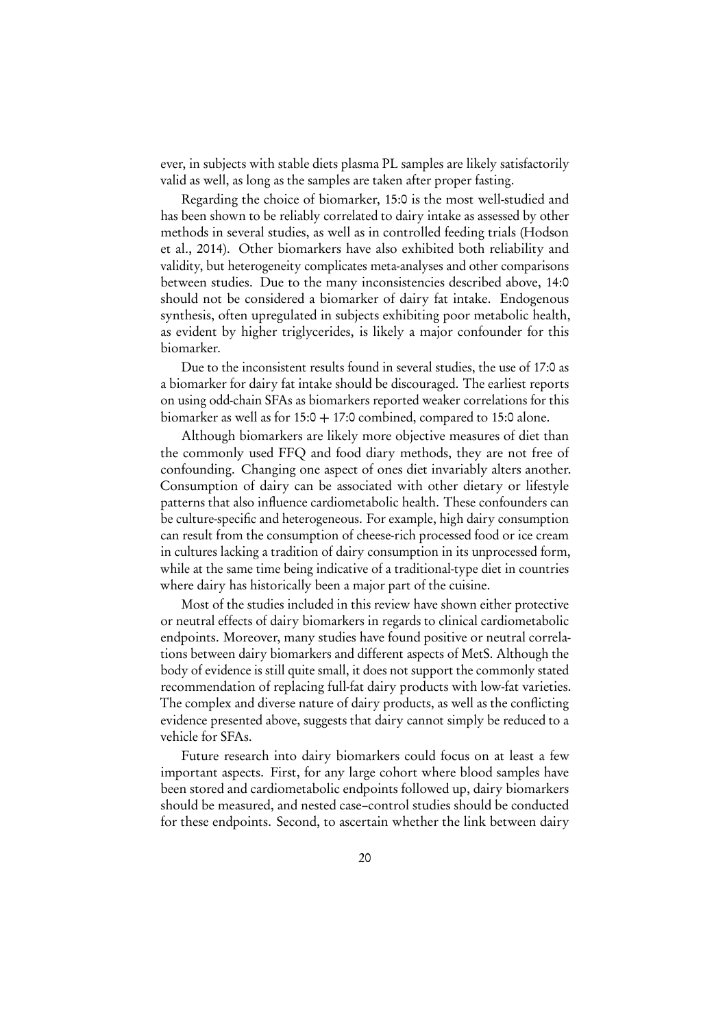ever, in subjects with stable diets plasma PL samples are likely satisfactorily valid as well, as long as the samples are taken after proper fasting.

Regarding the choice of biomarker, 15:0 is the most well-studied and has been shown to be reliably correlated to dairy intake as assessed by other methods in several studies, as well as in controlled feeding trials [\(Hodson](#page-22-4) [et al., 2014\)](#page-22-4). Other biomarkers have also exhibited both reliability and validity, but heterogeneity complicates meta-analyses and other comparisons between studies. Due to the many inconsistencies described above, 14:0 should not be considered a biomarker of dairy fat intake. Endogenous synthesis, often upregulated in subjects exhibiting poor metabolic health, as evident by higher triglycerides, is likely a major confounder for this biomarker.

Due to the inconsistent results found in several studies, the use of 17:0 as a biomarker for dairy fat intake should be discouraged. The earliest reports on using odd-chain SFAs as biomarkers reported weaker correlations for this biomarker as well as for  $15:0 + 17:0$  combined, compared to 15:0 alone.

Although biomarkers are likely more objective measures of diet than the commonly used FFQ and food diary methods, they are not free of confounding. Changing one aspect of ones diet invariably alters another. Consumption of dairy can be associated with other dietary or lifestyle patterns that also influence cardiometabolic health. These confounders can be culture-specific and heterogeneous. For example, high dairy consumption can result from the consumption of cheese-rich processed food or ice cream in cultures lacking a tradition of dairy consumption in its unprocessed form, while at the same time being indicative of a traditional-type diet in countries where dairy has historically been a major part of the cuisine.

Most of the studies included in this review have shown either protective or neutral effects of dairy biomarkers in regards to clinical cardiometabolic endpoints. Moreover, many studies have found positive or neutral correlations between dairy biomarkers and different aspects of MetS. Although the body of evidence is still quite small, it does not support the commonly stated recommendation of replacing full-fat dairy products with low-fat varieties. The complex and diverse nature of dairy products, as well as the conflicting evidence presented above, suggests that dairy cannot simply be reduced to a vehicle for SFAs.

Future research into dairy biomarkers could focus on at least a few important aspects. First, for any large cohort where blood samples have been stored and cardiometabolic endpoints followed up, dairy biomarkers should be measured, and nested case–control studies should be conducted for these endpoints. Second, to ascertain whether the link between dairy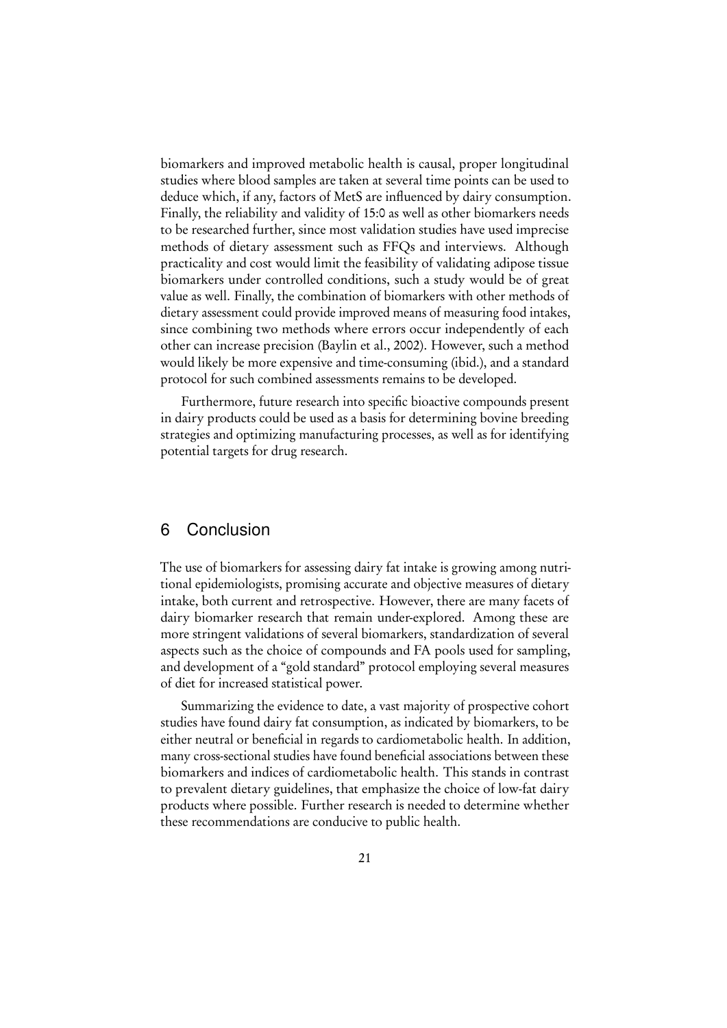biomarkers and improved metabolic health is causal, proper longitudinal studies where blood samples are taken at several time points can be used to deduce which, if any, factors of MetS are influenced by dairy consumption. Finally, the reliability and validity of 15:0 as well as other biomarkers needs to be researched further, since most validation studies have used imprecise methods of dietary assessment such as FFQs and interviews. Although practicality and cost would limit the feasibility of validating adipose tissue biomarkers under controlled conditions, such a study would be of great value as well. Finally, the combination of biomarkers with other methods of dietary assessment could provide improved means of measuring food intakes, since combining two methods where errors occur independently of each other can increase precision [\(Baylin et al., 2002\)](#page-21-4). However, such a method would likely be more expensive and time-consuming (ibid.), and a standard protocol for such combined assessments remains to be developed.

Furthermore, future research into specific bioactive compounds present in dairy products could be used as a basis for determining bovine breeding strategies and optimizing manufacturing processes, as well as for identifying potential targets for drug research.

## <span id="page-20-0"></span>6 Conclusion

The use of biomarkers for assessing dairy fat intake is growing among nutritional epidemiologists, promising accurate and objective measures of dietary intake, both current and retrospective. However, there are many facets of dairy biomarker research that remain under-explored. Among these are more stringent validations of several biomarkers, standardization of several aspects such as the choice of compounds and FA pools used for sampling, and development of a "gold standard" protocol employing several measures of diet for increased statistical power.

Summarizing the evidence to date, a vast majority of prospective cohort studies have found dairy fat consumption, as indicated by biomarkers, to be either neutral or beneficial in regards to cardiometabolic health. In addition, many cross-sectional studies have found beneficial associations between these biomarkers and indices of cardiometabolic health. This stands in contrast to prevalent dietary guidelines, that emphasize the choice of low-fat dairy products where possible. Further research is needed to determine whether these recommendations are conducive to public health.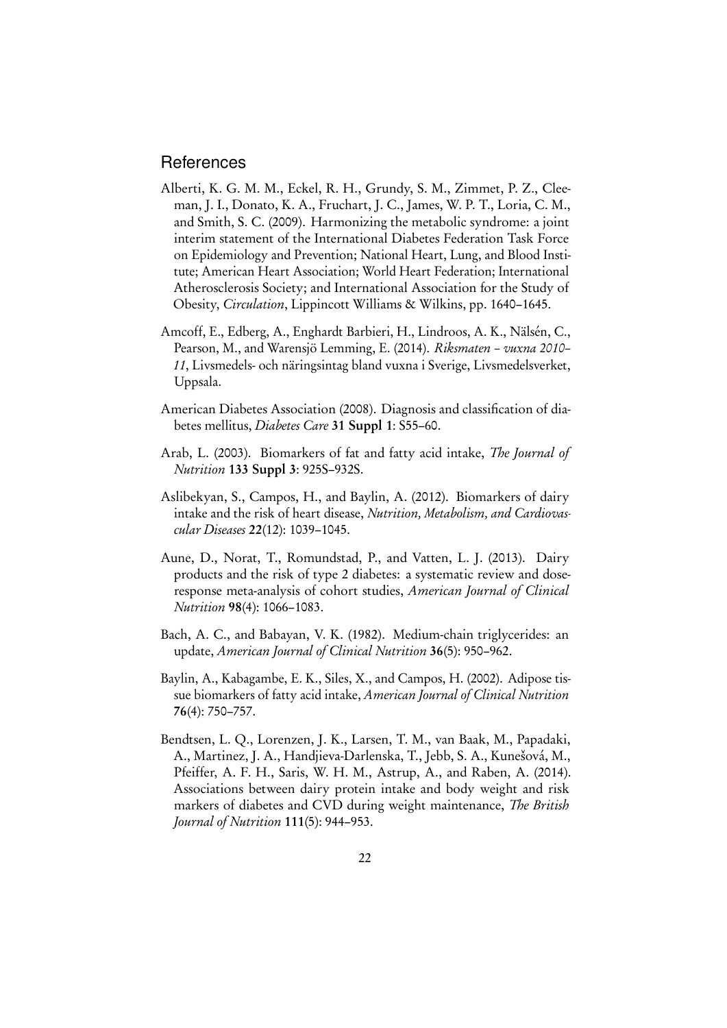### **References**

- <span id="page-21-1"></span>Alberti, K. G. M. M., Eckel, R. H., Grundy, S. M., Zimmet, P. Z., Cleeman, J. I., Donato, K. A., Fruchart, J. C., James, W. P. T., Loria, C. M., and Smith, S. C. (2009). Harmonizing the metabolic syndrome: a joint interim statement of the International Diabetes Federation Task Force on Epidemiology and Prevention; National Heart, Lung, and Blood Institute; American Heart Association; World Heart Federation; International Atherosclerosis Society; and International Association for the Study of Obesity, Circulation, Lippincott Williams & Wilkins, pp. 1640–1645.
- <span id="page-21-0"></span>Amcoff, E., Edberg, A., Enghardt Barbieri, H., Lindroos, A. K., Nälsén, C., Pearson, M., and Warensjö Lemming, E. (2014). Riksmaten – vuxna 2010– 11, Livsmedels- och näringsintag bland vuxna i Sverige, Livsmedelsverket, Uppsala.
- <span id="page-21-2"></span>American Diabetes Association (2008). Diagnosis and classification of diabetes mellitus, Diabetes Care 31 Suppl 1: S55-60.
- <span id="page-21-3"></span>Arab, L. (2003). Biomarkers of fat and fatty acid intake, The Journal of Nutrition 133 Suppl 3: 925S–932S.
- <span id="page-21-7"></span>Aslibekyan, S., Campos, H., and Baylin, A. (2012). Biomarkers of dairy intake and the risk of heart disease, Nutrition, Metabolism, and Cardiovascular Diseases 22(12): 1039–1045.
- <span id="page-21-8"></span>Aune, D., Norat, T., Romundstad, P., and Vatten, L. J. (2013). Dairy products and the risk of type 2 diabetes: a systematic review and doseresponse meta-analysis of cohort studies, American Journal of Clinical Nutrition 98(4): 1066–1083.
- <span id="page-21-5"></span>Bach, A. C., and Babayan, V. K. (1982). Medium-chain triglycerides: an update, American Journal of Clinical Nutrition 36(5): 950–962.
- <span id="page-21-4"></span>Baylin, A., Kabagambe, E. K., Siles, X., and Campos, H. (2002). Adipose tissue biomarkers of fatty acid intake, American Journal of Clinical Nutrition 76(4): 750–757.
- <span id="page-21-6"></span>Bendtsen, L. Q., Lorenzen, J. K., Larsen, T. M., van Baak, M., Papadaki, A., Martinez, J. A., Handjieva-Darlenska, T., Jebb, S. A., Kunešová, M., Pfeiffer, A. F. H., Saris, W. H. M., Astrup, A., and Raben, A. (2014). Associations between dairy protein intake and body weight and risk markers of diabetes and CVD during weight maintenance, The British Journal of Nutrition 111(5): 944–953.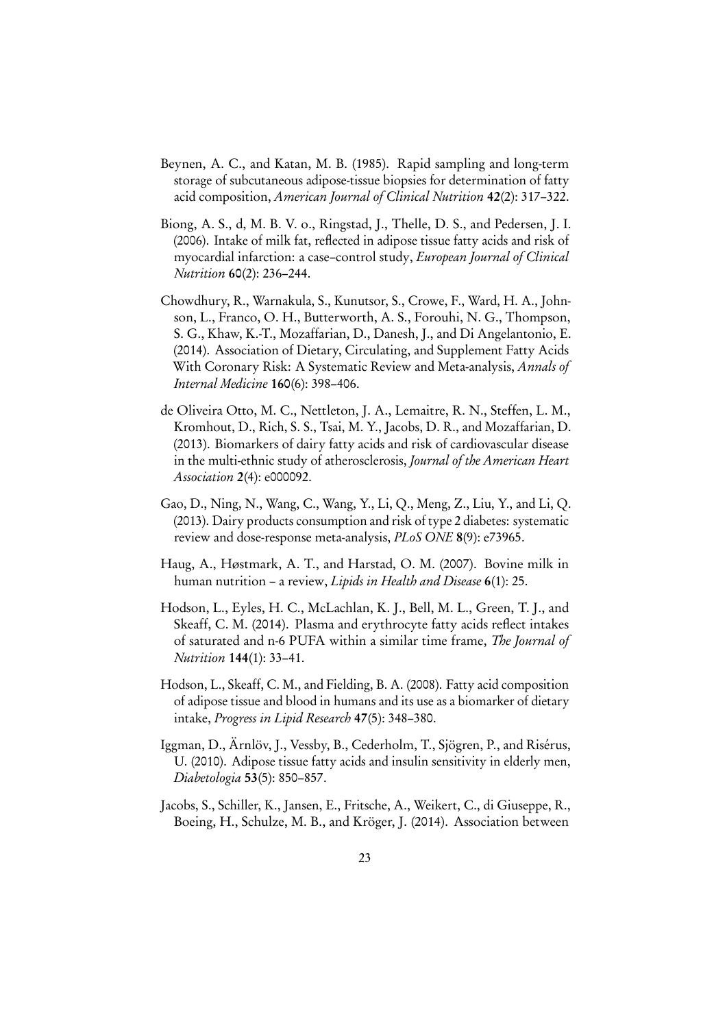- <span id="page-22-5"></span>Beynen, A. C., and Katan, M. B. (1985). Rapid sampling and long-term storage of subcutaneous adipose-tissue biopsies for determination of fatty acid composition, American Journal of Clinical Nutrition 42(2): 317–322.
- <span id="page-22-9"></span>Biong, A. S., d, M. B. V. o., Ringstad, J., Thelle, D. S., and Pedersen, J. I. (2006). Intake of milk fat, reflected in adipose tissue fatty acids and risk of myocardial infarction: a case–control study, European Journal of Clinical Nutrition 60(2): 236–244.
- <span id="page-22-6"></span>Chowdhury, R., Warnakula, S., Kunutsor, S., Crowe, F., Ward, H. A., Johnson, L., Franco, O. H., Butterworth, A. S., Forouhi, N. G., Thompson, S. G., Khaw, K.-T., Mozaffarian, D., Danesh, J., and Di Angelantonio, E. (2014). Association of Dietary, Circulating, and Supplement Fatty Acids With Coronary Risk: A Systematic Review and Meta-analysis, Annals of Internal Medicine 160(6): 398–406.
- <span id="page-22-2"></span>de Oliveira Otto, M. C., Nettleton, J. A., Lemaitre, R. N., Steffen, L. M., Kromhout, D., Rich, S. S., Tsai, M. Y., Jacobs, D. R., and Mozaffarian, D. (2013). Biomarkers of dairy fatty acids and risk of cardiovascular disease in the multi-ethnic study of atherosclerosis, Journal of the American Heart Association 2(4): e000092.
- <span id="page-22-7"></span>Gao, D., Ning, N., Wang, C., Wang, Y., Li, Q., Meng, Z., Liu, Y., and Li, Q. (2013). Dairy products consumption and risk of type 2 diabetes: systematic review and dose-response meta-analysis, *PLoS ONE* 8(9): e73965.
- <span id="page-22-8"></span>Haug, A., Høstmark, A. T., and Harstad, O. M. (2007). Bovine milk in human nutrition – a review, *Lipids in Health and Disease* 6(1): 25.
- <span id="page-22-4"></span>Hodson, L., Eyles, H. C., McLachlan, K. J., Bell, M. L., Green, T. J., and Skeaff, C. M. (2014). Plasma and erythrocyte fatty acids reflect intakes of saturated and n-6 PUFA within a similar time frame, The Journal of Nutrition 144(1): 33–41.
- <span id="page-22-0"></span>Hodson, L., Skeaff, C. M., and Fielding, B. A. (2008). Fatty acid composition of adipose tissue and blood in humans and its use as a biomarker of dietary intake, Progress in Lipid Research 47(5): 348–380.
- <span id="page-22-3"></span>Iggman, D., Ärnlöv, J., Vessby, B., Cederholm, T., Sjögren, P., and Risérus, U. (2010). Adipose tissue fatty acids and insulin sensitivity in elderly men, Diabetologia 53(5): 850–857.
- <span id="page-22-1"></span>Jacobs, S., Schiller, K., Jansen, E., Fritsche, A., Weikert, C., di Giuseppe, R., Boeing, H., Schulze, M. B., and Kröger, J. (2014). Association between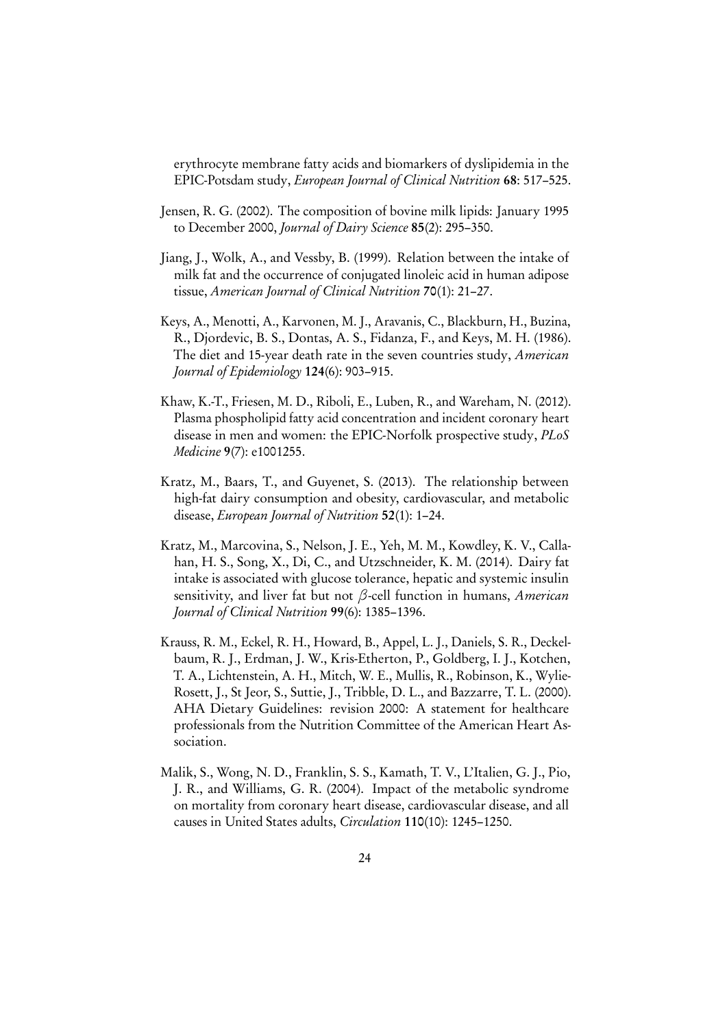erythrocyte membrane fatty acids and biomarkers of dyslipidemia in the EPIC-Potsdam study, European Journal of Clinical Nutrition 68: 517–525.

- <span id="page-23-5"></span>Jensen, R. G. (2002). The composition of bovine milk lipids: January 1995 to December 2000, Journal of Dairy Science 85(2): 295–350.
- <span id="page-23-2"></span>Jiang, J., Wolk, A., and Vessby, B. (1999). Relation between the intake of milk fat and the occurrence of conjugated linoleic acid in human adipose tissue, American Journal of Clinical Nutrition 70(1): 21–27.
- <span id="page-23-4"></span>Keys, A., Menotti, A., Karvonen, M. J., Aravanis, C., Blackburn, H., Buzina, R., Djordevic, B. S., Dontas, A. S., Fidanza, F., and Keys, M. H. (1986). The diet and 15-year death rate in the seven countries study, American Journal of Epidemiology 124(6): 903–915.
- <span id="page-23-7"></span>Khaw, K.-T., Friesen, M. D., Riboli, E., Luben, R., and Wareham, N. (2012). Plasma phospholipid fatty acid concentration and incident coronary heart disease in men and women: the EPIC-Norfolk prospective study, PLoS Medicine 9(7): e1001255.
- <span id="page-23-3"></span>Kratz, M., Baars, T., and Guyenet, S. (2013). The relationship between high-fat dairy consumption and obesity, cardiovascular, and metabolic disease, European Journal of Nutrition 52(1): 1–24.
- <span id="page-23-6"></span>Kratz, M., Marcovina, S., Nelson, J. E., Yeh, M. M., Kowdley, K. V., Callahan, H. S., Song, X., Di, C., and Utzschneider, K. M. (2014). Dairy fat intake is associated with glucose tolerance, hepatic and systemic insulin sensitivity, and liver fat but not *β*-cell function in humans, American Journal of Clinical Nutrition 99(6): 1385–1396.
- <span id="page-23-0"></span>Krauss, R. M., Eckel, R. H., Howard, B., Appel, L. J., Daniels, S. R., Deckelbaum, R. J., Erdman, J. W., Kris-Etherton, P., Goldberg, I. J., Kotchen, T. A., Lichtenstein, A. H., Mitch, W. E., Mullis, R., Robinson, K., Wylie-Rosett, J., St Jeor, S., Suttie, J., Tribble, D. L., and Bazzarre, T. L. (2000). AHA Dietary Guidelines: revision 2000: A statement for healthcare professionals from the Nutrition Committee of the American Heart Association.
- <span id="page-23-1"></span>Malik, S., Wong, N. D., Franklin, S. S., Kamath, T. V., L'Italien, G. J., Pio, J. R., and Williams, G. R. (2004). Impact of the metabolic syndrome on mortality from coronary heart disease, cardiovascular disease, and all causes in United States adults, Circulation 110(10): 1245–1250.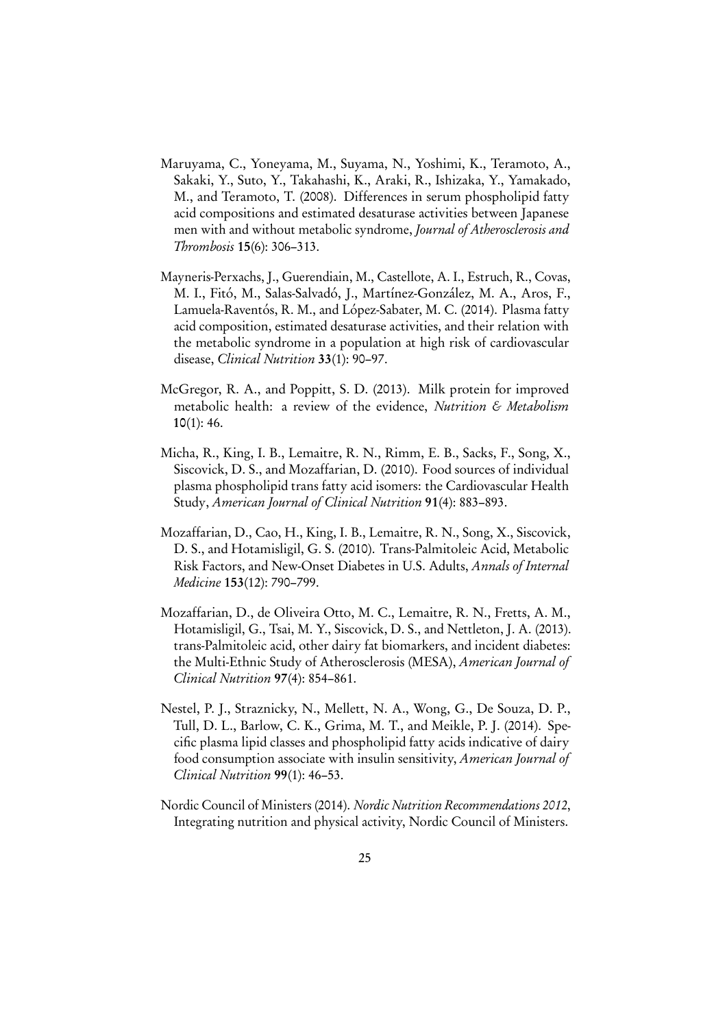- <span id="page-24-6"></span>Maruyama, C., Yoneyama, M., Suyama, N., Yoshimi, K., Teramoto, A., Sakaki, Y., Suto, Y., Takahashi, K., Araki, R., Ishizaka, Y., Yamakado, M., and Teramoto, T. (2008). Differences in serum phospholipid fatty acid compositions and estimated desaturase activities between Japanese men with and without metabolic syndrome, Journal of Atherosclerosis and Thrombosis 15(6): 306–313.
- <span id="page-24-7"></span>Mayneris-Perxachs, J., Guerendiain, M., Castellote, A. I., Estruch, R., Covas, M. I., Fitó, M., Salas-Salvadó, J., Martínez-González, M. A., Aros, F., Lamuela-Raventós, R. M., and López-Sabater, M. C. (2014). Plasma fatty acid composition, estimated desaturase activities, and their relation with the metabolic syndrome in a population at high risk of cardiovascular disease, Clinical Nutrition 33(1): 90-97.
- <span id="page-24-5"></span>McGregor, R. A., and Poppitt, S. D. (2013). Milk protein for improved metabolic health: a review of the evidence, Nutrition & Metabolism 10(1): 46.
- <span id="page-24-4"></span>Micha, R., King, I. B., Lemaitre, R. N., Rimm, E. B., Sacks, F., Song, X., Siscovick, D. S., and Mozaffarian, D. (2010). Food sources of individual plasma phospholipid trans fatty acid isomers: the Cardiovascular Health Study, American Journal of Clinical Nutrition 91(4): 883–893.
- <span id="page-24-2"></span>Mozaffarian, D., Cao, H., King, I. B., Lemaitre, R. N., Song, X., Siscovick, D. S., and Hotamisligil, G. S. (2010). Trans-Palmitoleic Acid, Metabolic Risk Factors, and New-Onset Diabetes in U.S. Adults, Annals of Internal Medicine 153(12): 790–799.
- <span id="page-24-3"></span>Mozaffarian, D., de Oliveira Otto, M. C., Lemaitre, R. N., Fretts, A. M., Hotamisligil, G., Tsai, M. Y., Siscovick, D. S., and Nettleton, J. A. (2013). trans-Palmitoleic acid, other dairy fat biomarkers, and incident diabetes: the Multi-Ethnic Study of Atherosclerosis (MESA), American Journal of Clinical Nutrition 97(4): 854–861.
- <span id="page-24-1"></span>Nestel, P. J., Straznicky, N., Mellett, N. A., Wong, G., De Souza, D. P., Tull, D. L., Barlow, C. K., Grima, M. T., and Meikle, P. J. (2014). Specific plasma lipid classes and phospholipid fatty acids indicative of dairy food consumption associate with insulin sensitivity, American Journal of Clinical Nutrition 99(1): 46–53.
- <span id="page-24-0"></span>Nordic Council of Ministers (2014). Nordic Nutrition Recommendations 2012, Integrating nutrition and physical activity, Nordic Council of Ministers.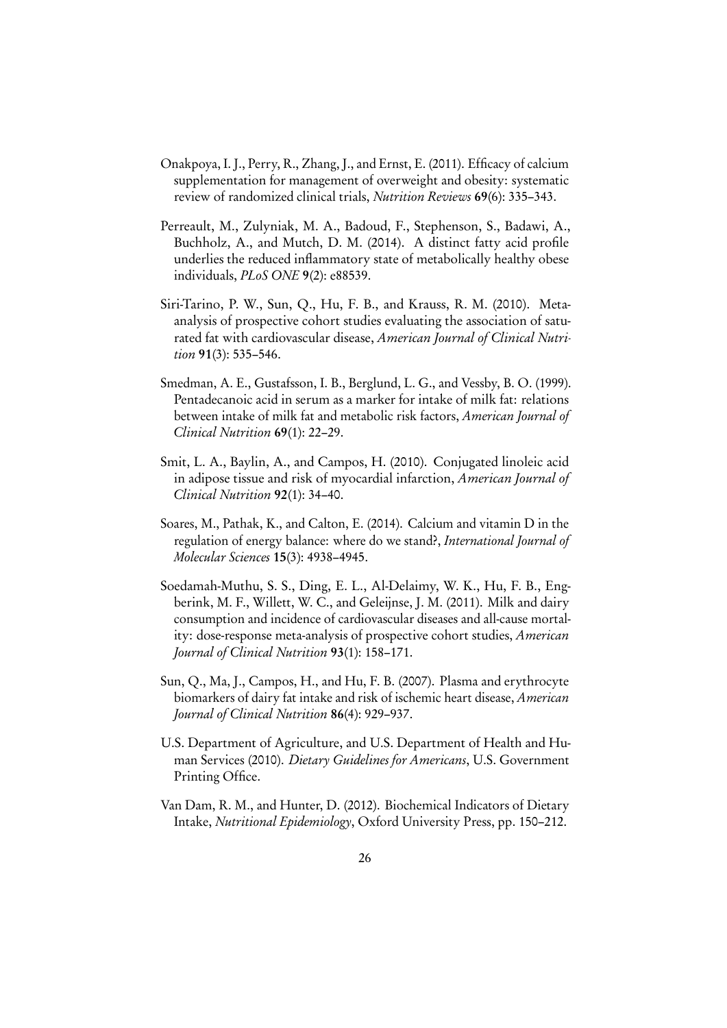- <span id="page-25-8"></span>Onakpoya, I. J., Perry, R., Zhang, J., and Ernst, E. (2011). Efficacy of calcium supplementation for management of overweight and obesity: systematic review of randomized clinical trials, Nutrition Reviews 69(6): 335–343.
- <span id="page-25-3"></span>Perreault, M., Zulyniak, M. A., Badoud, F., Stephenson, S., Badawi, A., Buchholz, A., and Mutch, D. M. (2014). A distinct fatty acid profile underlies the reduced inflammatory state of metabolically healthy obese individuals, PLoS ONE 9(2): e88539.
- <span id="page-25-5"></span>Siri-Tarino, P. W., Sun, Q., Hu, F. B., and Krauss, R. M. (2010). Metaanalysis of prospective cohort studies evaluating the association of saturated fat with cardiovascular disease, American Journal of Clinical Nutrition 91(3): 535-546.
- <span id="page-25-2"></span>Smedman, A. E., Gustafsson, I. B., Berglund, L. G., and Vessby, B. O. (1999). Pentadecanoic acid in serum as a marker for intake of milk fat: relations between intake of milk fat and metabolic risk factors, American Journal of Clinical Nutrition 69(1): 22–29.
- <span id="page-25-4"></span>Smit, L. A., Baylin, A., and Campos, H. (2010). Conjugated linoleic acid in adipose tissue and risk of myocardial infarction, American Journal of Clinical Nutrition 92(1): 34–40.
- <span id="page-25-7"></span>Soares, M., Pathak, K., and Calton, E. (2014). Calcium and vitamin D in the regulation of energy balance: where do we stand?, International Journal of Molecular Sciences 15(3): 4938–4945.
- <span id="page-25-6"></span>Soedamah-Muthu, S. S., Ding, E. L., Al-Delaimy, W. K., Hu, F. B., Engberink, M. F., Willett, W. C., and Geleijnse, J. M. (2011). Milk and dairy consumption and incidence of cardiovascular diseases and all-cause mortality: dose-response meta-analysis of prospective cohort studies, American Journal of Clinical Nutrition 93(1): 158–171.
- <span id="page-25-9"></span>Sun, Q., Ma, J., Campos, H., and Hu, F. B. (2007). Plasma and erythrocyte biomarkers of dairy fat intake and risk of ischemic heart disease, American Journal of Clinical Nutrition 86(4): 929–937.
- <span id="page-25-0"></span>U.S. Department of Agriculture, and U.S. Department of Health and Human Services (2010). Dietary Guidelines for Americans, U.S. Government Printing Office.
- <span id="page-25-1"></span>Van Dam, R. M., and Hunter, D. (2012). Biochemical Indicators of Dietary Intake, Nutritional Epidemiology, Oxford University Press, pp. 150–212.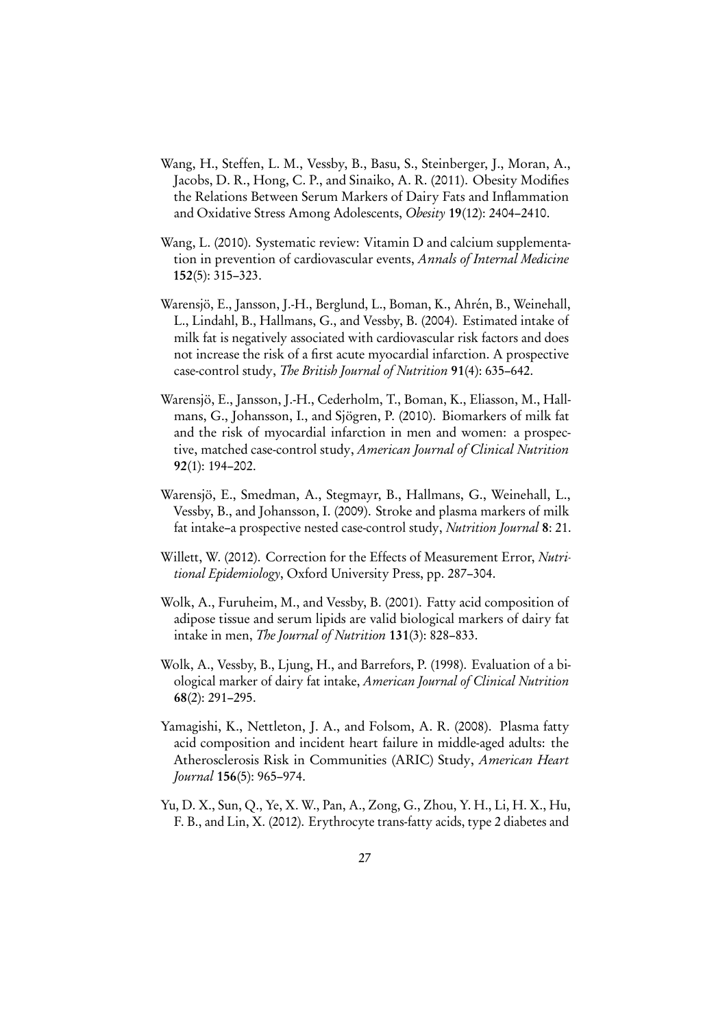- <span id="page-26-5"></span>Wang, H., Steffen, L. M., Vessby, B., Basu, S., Steinberger, J., Moran, A., Jacobs, D. R., Hong, C. P., and Sinaiko, A. R. (2011). Obesity Modifies the Relations Between Serum Markers of Dairy Fats and Inflammation and Oxidative Stress Among Adolescents, Obesity 19(12): 2404–2410.
- <span id="page-26-4"></span>Wang, L. (2010). Systematic review: Vitamin D and calcium supplementation in prevention of cardiovascular events, Annals of Internal Medicine 152(5): 315–323.
- <span id="page-26-9"></span>Warensjö, E., Jansson, J.-H., Berglund, L., Boman, K., Ahrén, B., Weinehall, L., Lindahl, B., Hallmans, G., and Vessby, B. (2004). Estimated intake of milk fat is negatively associated with cardiovascular risk factors and does not increase the risk of a first acute myocardial infarction. A prospective case-control study, The British Journal of Nutrition 91(4): 635–642.
- <span id="page-26-6"></span>Warensjö, E., Jansson, J.-H., Cederholm, T., Boman, K., Eliasson, M., Hallmans, G., Johansson, I., and Sjögren, P. (2010). Biomarkers of milk fat and the risk of myocardial infarction in men and women: a prospective, matched case-control study, American Journal of Clinical Nutrition 92(1): 194–202.
- <span id="page-26-7"></span>Warensjö, E., Smedman, A., Stegmayr, B., Hallmans, G., Weinehall, L., Vessby, B., and Johansson, I. (2009). Stroke and plasma markers of milk fat intake–a prospective nested case-control study, Nutrition Journal 8: 21.
- <span id="page-26-0"></span>Willett, W. (2012). Correction for the Effects of Measurement Error, Nutritional Epidemiology, Oxford University Press, pp. 287–304.
- <span id="page-26-2"></span>Wolk, A., Furuheim, M., and Vessby, B. (2001). Fatty acid composition of adipose tissue and serum lipids are valid biological markers of dairy fat intake in men, The Journal of Nutrition 131(3): 828–833.
- <span id="page-26-1"></span>Wolk, A., Vessby, B., Ljung, H., and Barrefors, P. (1998). Evaluation of a biological marker of dairy fat intake, American Journal of Clinical Nutrition 68(2): 291–295.
- <span id="page-26-8"></span>Yamagishi, K., Nettleton, J. A., and Folsom, A. R. (2008). Plasma fatty acid composition and incident heart failure in middle-aged adults: the Atherosclerosis Risk in Communities (ARIC) Study, American Heart Journal 156(5): 965–974.
- <span id="page-26-3"></span>Yu, D. X., Sun, Q., Ye, X. W., Pan, A., Zong, G., Zhou, Y. H., Li, H. X., Hu, F. B., and Lin, X. (2012). Erythrocyte trans-fatty acids, type 2 diabetes and